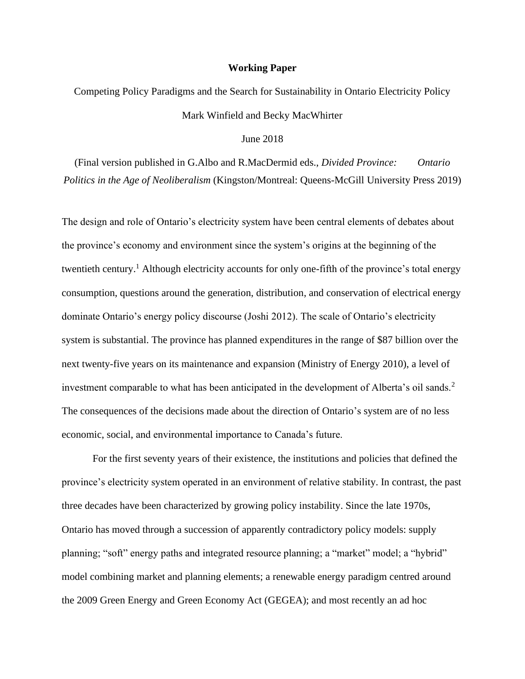#### **Working Paper**

Competing Policy Paradigms and the Search for Sustainability in Ontario Electricity Policy Mark Winfield and Becky MacWhirter

### June 2018

(Final version published in G.Albo and R.MacDermid eds., *Divided Province: Ontario Politics in the Age of Neoliberalism* (Kingston/Montreal: Queens-McGill University Press 2019)

The design and role of Ontario's electricity system have been central elements of debates about the province's economy and environment since the system's origins at the beginning of the twentieth century.<sup>1</sup> Although electricity accounts for only one-fifth of the province's total energy consumption, questions around the generation, distribution, and conservation of electrical energy dominate Ontario's energy policy discourse (Joshi 2012). The scale of Ontario's electricity system is substantial. The province has planned expenditures in the range of \$87 billion over the next twenty-five years on its maintenance and expansion (Ministry of Energy 2010), a level of investment comparable to what has been anticipated in the development of Alberta's oil sands.<sup>2</sup> The consequences of the decisions made about the direction of Ontario's system are of no less economic, social, and environmental importance to Canada's future.

For the first seventy years of their existence, the institutions and policies that defined the province's electricity system operated in an environment of relative stability. In contrast, the past three decades have been characterized by growing policy instability. Since the late 1970s, Ontario has moved through a succession of apparently contradictory policy models: supply planning; "soft" energy paths and integrated resource planning; a "market" model; a "hybrid" model combining market and planning elements; a renewable energy paradigm centred around the 2009 Green Energy and Green Economy Act (GEGEA); and most recently an ad hoc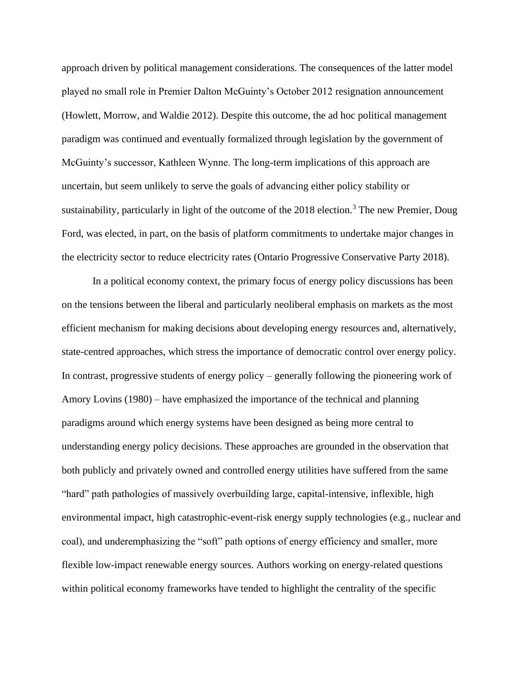approach driven by political management considerations. The consequences of the latter model played no small role in Premier Dalton McGuinty's October 2012 resignation announcement (Howlett, Morrow, and Waldie 2012). Despite this outcome, the ad hoc political management paradigm was continued and eventually formalized through legislation by the government of McGuinty's successor, Kathleen Wynne. The long-term implications of this approach are uncertain, but seem unlikely to serve the goals of advancing either policy stability or sustainability, particularly in light of the outcome of the  $2018$  election.<sup>3</sup> The new Premier, Doug Ford, was elected, in part, on the basis of platform commitments to undertake major changes in the electricity sector to reduce electricity rates (Ontario Progressive Conservative Party 2018).

In a political economy context, the primary focus of energy policy discussions has been on the tensions between the liberal and particularly neoliberal emphasis on markets as the most efficient mechanism for making decisions about developing energy resources and, alternatively, state-centred approaches, which stress the importance of democratic control over energy policy. In contrast, progressive students of energy policy – generally following the pioneering work of Amory Lovins (1980) – have emphasized the importance of the technical and planning paradigms around which energy systems have been designed as being more central to understanding energy policy decisions. These approaches are grounded in the observation that both publicly and privately owned and controlled energy utilities have suffered from the same "hard" path pathologies of massively overbuilding large, capital-intensive, inflexible, high environmental impact, high catastrophic-event-risk energy supply technologies (e.g., nuclear and coal), and underemphasizing the "soft" path options of energy efficiency and smaller, more flexible low-impact renewable energy sources. Authors working on energy-related questions within political economy frameworks have tended to highlight the centrality of the specific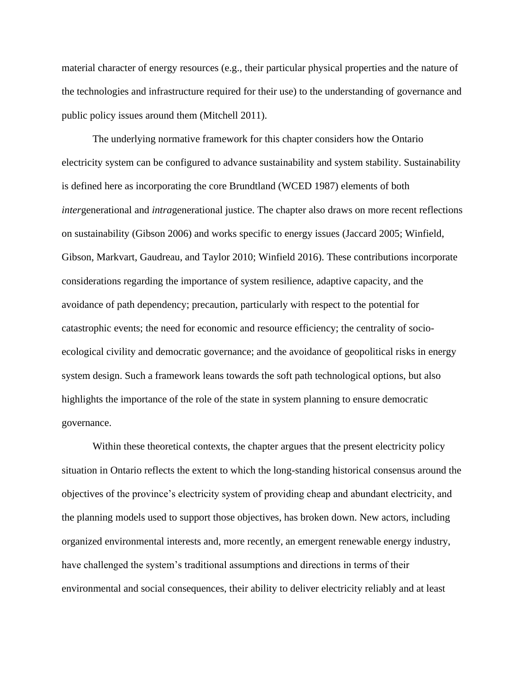material character of energy resources (e.g., their particular physical properties and the nature of the technologies and infrastructure required for their use) to the understanding of governance and public policy issues around them (Mitchell 2011).

The underlying normative framework for this chapter considers how the Ontario electricity system can be configured to advance sustainability and system stability. Sustainability is defined here as incorporating the core Brundtland (WCED 1987) elements of both *inter*generational and *intra*generational justice. The chapter also draws on more recent reflections on sustainability (Gibson 2006) and works specific to energy issues (Jaccard 2005; Winfield, Gibson, Markvart, Gaudreau, and Taylor 2010; Winfield 2016). These contributions incorporate considerations regarding the importance of system resilience, adaptive capacity, and the avoidance of path dependency; precaution, particularly with respect to the potential for catastrophic events; the need for economic and resource efficiency; the centrality of socioecological civility and democratic governance; and the avoidance of geopolitical risks in energy system design. Such a framework leans towards the soft path technological options, but also highlights the importance of the role of the state in system planning to ensure democratic governance.

Within these theoretical contexts, the chapter argues that the present electricity policy situation in Ontario reflects the extent to which the long-standing historical consensus around the objectives of the province's electricity system of providing cheap and abundant electricity, and the planning models used to support those objectives, has broken down. New actors, including organized environmental interests and, more recently, an emergent renewable energy industry, have challenged the system's traditional assumptions and directions in terms of their environmental and social consequences, their ability to deliver electricity reliably and at least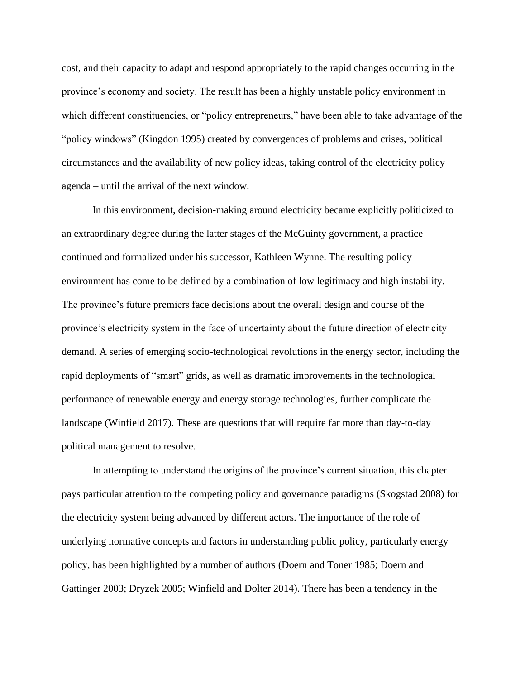cost, and their capacity to adapt and respond appropriately to the rapid changes occurring in the province's economy and society. The result has been a highly unstable policy environment in which different constituencies, or "policy entrepreneurs," have been able to take advantage of the "policy windows" (Kingdon 1995) created by convergences of problems and crises, political circumstances and the availability of new policy ideas, taking control of the electricity policy agenda – until the arrival of the next window.

In this environment, decision-making around electricity became explicitly politicized to an extraordinary degree during the latter stages of the McGuinty government, a practice continued and formalized under his successor, Kathleen Wynne. The resulting policy environment has come to be defined by a combination of low legitimacy and high instability. The province's future premiers face decisions about the overall design and course of the province's electricity system in the face of uncertainty about the future direction of electricity demand. A series of emerging socio-technological revolutions in the energy sector, including the rapid deployments of "smart" grids, as well as dramatic improvements in the technological performance of renewable energy and energy storage technologies, further complicate the landscape (Winfield 2017). These are questions that will require far more than day-to-day political management to resolve.

In attempting to understand the origins of the province's current situation, this chapter pays particular attention to the competing policy and governance paradigms (Skogstad 2008) for the electricity system being advanced by different actors. The importance of the role of underlying normative concepts and factors in understanding public policy, particularly energy policy, has been highlighted by a number of authors (Doern and Toner 1985; Doern and Gattinger 2003; Dryzek 2005; Winfield and Dolter 2014). There has been a tendency in the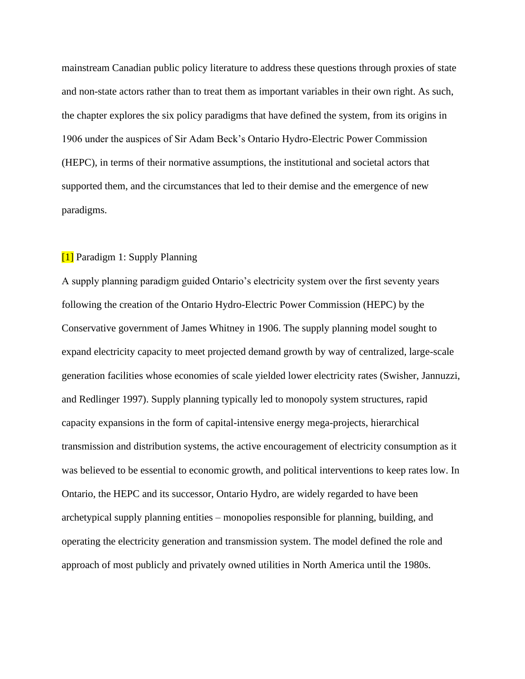mainstream Canadian public policy literature to address these questions through proxies of state and non-state actors rather than to treat them as important variables in their own right. As such, the chapter explores the six policy paradigms that have defined the system, from its origins in 1906 under the auspices of Sir Adam Beck's Ontario Hydro-Electric Power Commission (HEPC), in terms of their normative assumptions, the institutional and societal actors that supported them, and the circumstances that led to their demise and the emergence of new paradigms.

# [1] Paradigm 1: Supply Planning

A supply planning paradigm guided Ontario's electricity system over the first seventy years following the creation of the Ontario Hydro-Electric Power Commission (HEPC) by the Conservative government of James Whitney in 1906. The supply planning model sought to expand electricity capacity to meet projected demand growth by way of centralized, large-scale generation facilities whose economies of scale yielded lower electricity rates (Swisher, Jannuzzi, and Redlinger 1997). Supply planning typically led to monopoly system structures, rapid capacity expansions in the form of capital-intensive energy mega-projects, hierarchical transmission and distribution systems, the active encouragement of electricity consumption as it was believed to be essential to economic growth, and political interventions to keep rates low. In Ontario, the HEPC and its successor, Ontario Hydro, are widely regarded to have been archetypical supply planning entities – monopolies responsible for planning, building, and operating the electricity generation and transmission system. The model defined the role and approach of most publicly and privately owned utilities in North America until the 1980s.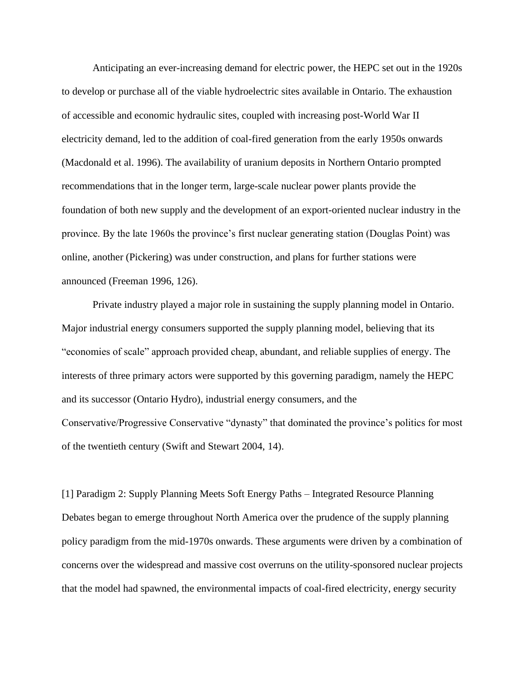Anticipating an ever-increasing demand for electric power, the HEPC set out in the 1920s to develop or purchase all of the viable hydroelectric sites available in Ontario. The exhaustion of accessible and economic hydraulic sites, coupled with increasing post-World War II electricity demand, led to the addition of coal-fired generation from the early 1950s onwards (Macdonald et al. 1996). The availability of uranium deposits in Northern Ontario prompted recommendations that in the longer term, large-scale nuclear power plants provide the foundation of both new supply and the development of an export-oriented nuclear industry in the province. By the late 1960s the province's first nuclear generating station (Douglas Point) was online, another (Pickering) was under construction, and plans for further stations were announced (Freeman 1996, 126).

Private industry played a major role in sustaining the supply planning model in Ontario. Major industrial energy consumers supported the supply planning model, believing that its "economies of scale" approach provided cheap, abundant, and reliable supplies of energy. The interests of three primary actors were supported by this governing paradigm, namely the HEPC and its successor (Ontario Hydro), industrial energy consumers, and the Conservative/Progressive Conservative "dynasty" that dominated the province's politics for most of the twentieth century (Swift and Stewart 2004, 14).

[1] Paradigm 2: Supply Planning Meets Soft Energy Paths – Integrated Resource Planning Debates began to emerge throughout North America over the prudence of the supply planning policy paradigm from the mid-1970s onwards. These arguments were driven by a combination of concerns over the widespread and massive cost overruns on the utility-sponsored nuclear projects that the model had spawned, the environmental impacts of coal-fired electricity, energy security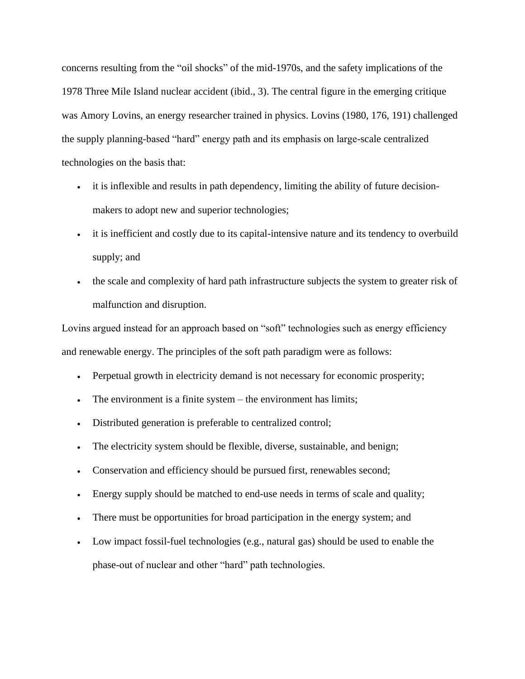concerns resulting from the "oil shocks" of the mid-1970s, and the safety implications of the 1978 Three Mile Island nuclear accident (ibid., 3). The central figure in the emerging critique was Amory Lovins, an energy researcher trained in physics. Lovins (1980, 176, 191) challenged the supply planning-based "hard" energy path and its emphasis on large-scale centralized technologies on the basis that:

- it is inflexible and results in path dependency, limiting the ability of future decisionmakers to adopt new and superior technologies;
- it is inefficient and costly due to its capital-intensive nature and its tendency to overbuild supply; and
- the scale and complexity of hard path infrastructure subjects the system to greater risk of malfunction and disruption.

Lovins argued instead for an approach based on "soft" technologies such as energy efficiency and renewable energy. The principles of the soft path paradigm were as follows:

- Perpetual growth in electricity demand is not necessary for economic prosperity;
- The environment is a finite system the environment has limits;
- Distributed generation is preferable to centralized control;
- The electricity system should be flexible, diverse, sustainable, and benign;
- Conservation and efficiency should be pursued first, renewables second;
- Energy supply should be matched to end-use needs in terms of scale and quality;
- There must be opportunities for broad participation in the energy system; and
- Low impact fossil-fuel technologies (e.g., natural gas) should be used to enable the phase-out of nuclear and other "hard" path technologies.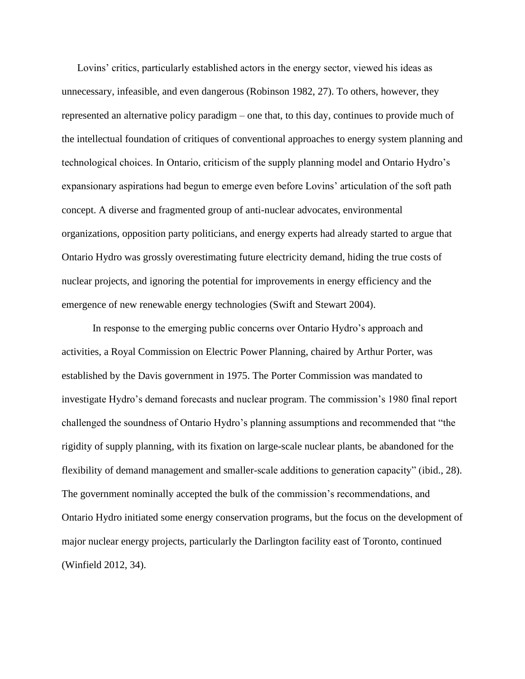Lovins' critics, particularly established actors in the energy sector, viewed his ideas as unnecessary, infeasible, and even dangerous (Robinson 1982, 27). To others, however, they represented an alternative policy paradigm – one that, to this day, continues to provide much of the intellectual foundation of critiques of conventional approaches to energy system planning and technological choices. In Ontario, criticism of the supply planning model and Ontario Hydro's expansionary aspirations had begun to emerge even before Lovins' articulation of the soft path concept. A diverse and fragmented group of anti-nuclear advocates, environmental organizations, opposition party politicians, and energy experts had already started to argue that Ontario Hydro was grossly overestimating future electricity demand, hiding the true costs of nuclear projects, and ignoring the potential for improvements in energy efficiency and the emergence of new renewable energy technologies (Swift and Stewart 2004).

In response to the emerging public concerns over Ontario Hydro's approach and activities, a Royal Commission on Electric Power Planning, chaired by Arthur Porter, was established by the Davis government in 1975. The Porter Commission was mandated to investigate Hydro's demand forecasts and nuclear program. The commission's 1980 final report challenged the soundness of Ontario Hydro's planning assumptions and recommended that "the rigidity of supply planning, with its fixation on large-scale nuclear plants, be abandoned for the flexibility of demand management and smaller-scale additions to generation capacity" (ibid., 28). The government nominally accepted the bulk of the commission's recommendations, and Ontario Hydro initiated some energy conservation programs, but the focus on the development of major nuclear energy projects, particularly the Darlington facility east of Toronto, continued (Winfield 2012, 34).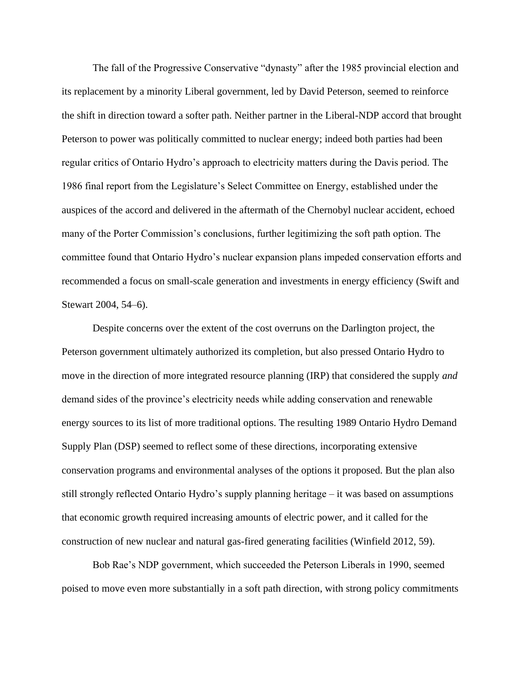The fall of the Progressive Conservative "dynasty" after the 1985 provincial election and its replacement by a minority Liberal government, led by David Peterson, seemed to reinforce the shift in direction toward a softer path. Neither partner in the Liberal-NDP accord that brought Peterson to power was politically committed to nuclear energy; indeed both parties had been regular critics of Ontario Hydro's approach to electricity matters during the Davis period. The 1986 final report from the Legislature's Select Committee on Energy, established under the auspices of the accord and delivered in the aftermath of the Chernobyl nuclear accident, echoed many of the Porter Commission's conclusions, further legitimizing the soft path option. The committee found that Ontario Hydro's nuclear expansion plans impeded conservation efforts and recommended a focus on small-scale generation and investments in energy efficiency (Swift and Stewart 2004, 54–6).

Despite concerns over the extent of the cost overruns on the Darlington project, the Peterson government ultimately authorized its completion, but also pressed Ontario Hydro to move in the direction of more integrated resource planning (IRP) that considered the supply *and* demand sides of the province's electricity needs while adding conservation and renewable energy sources to its list of more traditional options. The resulting 1989 Ontario Hydro Demand Supply Plan (DSP) seemed to reflect some of these directions, incorporating extensive conservation programs and environmental analyses of the options it proposed. But the plan also still strongly reflected Ontario Hydro's supply planning heritage – it was based on assumptions that economic growth required increasing amounts of electric power, and it called for the construction of new nuclear and natural gas-fired generating facilities (Winfield 2012, 59).

Bob Rae's NDP government, which succeeded the Peterson Liberals in 1990, seemed poised to move even more substantially in a soft path direction, with strong policy commitments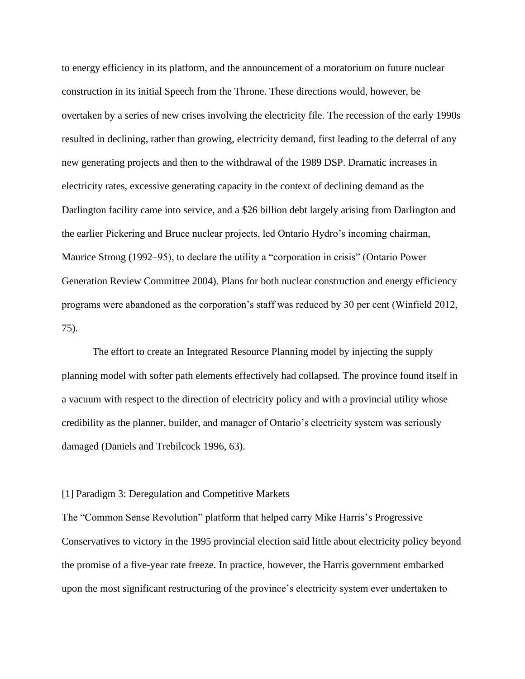to energy efficiency in its platform, and the announcement of a moratorium on future nuclear construction in its initial Speech from the Throne. These directions would, however, be overtaken by a series of new crises involving the electricity file. The recession of the early 1990s resulted in declining, rather than growing, electricity demand, first leading to the deferral of any new generating projects and then to the withdrawal of the 1989 DSP. Dramatic increases in electricity rates, excessive generating capacity in the context of declining demand as the Darlington facility came into service, and a \$26 billion debt largely arising from Darlington and the earlier Pickering and Bruce nuclear projects, led Ontario Hydro's incoming chairman, Maurice Strong (1992–95), to declare the utility a "corporation in crisis" (Ontario Power Generation Review Committee 2004). Plans for both nuclear construction and energy efficiency programs were abandoned as the corporation's staff was reduced by 30 per cent (Winfield 2012, 75).

The effort to create an Integrated Resource Planning model by injecting the supply planning model with softer path elements effectively had collapsed. The province found itself in a vacuum with respect to the direction of electricity policy and with a provincial utility whose credibility as the planner, builder, and manager of Ontario's electricity system was seriously damaged (Daniels and Trebilcock 1996, 63).

#### [1] Paradigm 3: Deregulation and Competitive Markets

The "Common Sense Revolution" platform that helped carry Mike Harris's Progressive Conservatives to victory in the 1995 provincial election said little about electricity policy beyond the promise of a five-year rate freeze. In practice, however, the Harris government embarked upon the most significant restructuring of the province's electricity system ever undertaken to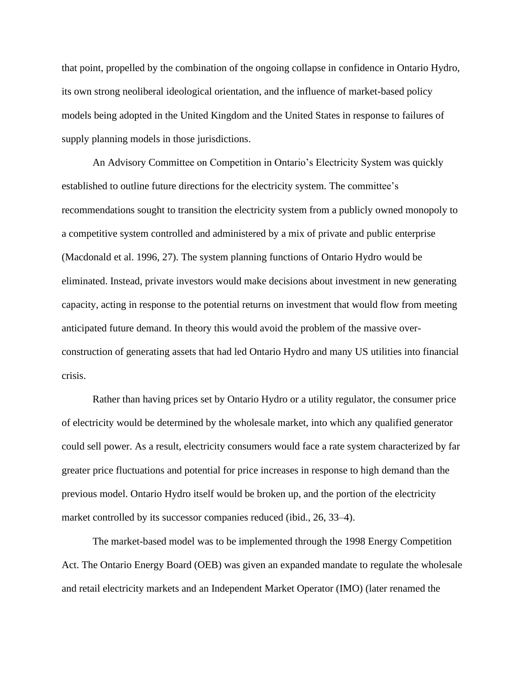that point, propelled by the combination of the ongoing collapse in confidence in Ontario Hydro, its own strong neoliberal ideological orientation, and the influence of market-based policy models being adopted in the United Kingdom and the United States in response to failures of supply planning models in those jurisdictions.

An Advisory Committee on Competition in Ontario's Electricity System was quickly established to outline future directions for the electricity system. The committee's recommendations sought to transition the electricity system from a publicly owned monopoly to a competitive system controlled and administered by a mix of private and public enterprise (Macdonald et al. 1996, 27). The system planning functions of Ontario Hydro would be eliminated. Instead, private investors would make decisions about investment in new generating capacity, acting in response to the potential returns on investment that would flow from meeting anticipated future demand. In theory this would avoid the problem of the massive overconstruction of generating assets that had led Ontario Hydro and many US utilities into financial crisis.

Rather than having prices set by Ontario Hydro or a utility regulator, the consumer price of electricity would be determined by the wholesale market, into which any qualified generator could sell power. As a result, electricity consumers would face a rate system characterized by far greater price fluctuations and potential for price increases in response to high demand than the previous model. Ontario Hydro itself would be broken up, and the portion of the electricity market controlled by its successor companies reduced (ibid., 26, 33–4).

The market-based model was to be implemented through the 1998 Energy Competition Act. The Ontario Energy Board (OEB) was given an expanded mandate to regulate the wholesale and retail electricity markets and an Independent Market Operator (IMO) (later renamed the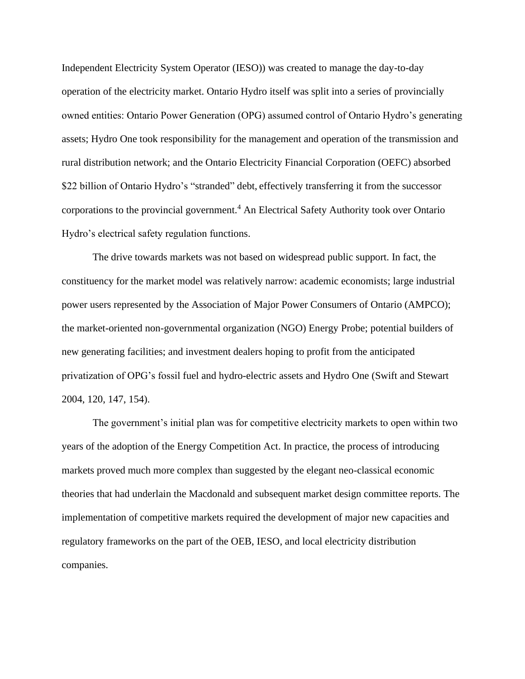Independent Electricity System Operator (IESO)) was created to manage the day-to-day operation of the electricity market. Ontario Hydro itself was split into a series of provincially owned entities: Ontario Power Generation (OPG) assumed control of Ontario Hydro's generating assets; Hydro One took responsibility for the management and operation of the transmission and rural distribution network; and the Ontario Electricity Financial Corporation (OEFC) absorbed \$22 billion of Ontario Hydro's "stranded" debt, effectively transferring it from the successor corporations to the provincial government.<sup>4</sup> An Electrical Safety Authority took over Ontario Hydro's electrical safety regulation functions.

The drive towards markets was not based on widespread public support. In fact, the constituency for the market model was relatively narrow: academic economists; large industrial power users represented by the Association of Major Power Consumers of Ontario (AMPCO); the market-oriented non-governmental organization (NGO) Energy Probe; potential builders of new generating facilities; and investment dealers hoping to profit from the anticipated privatization of OPG's fossil fuel and hydro-electric assets and Hydro One (Swift and Stewart 2004, 120, 147, 154).

The government's initial plan was for competitive electricity markets to open within two years of the adoption of the Energy Competition Act. In practice, the process of introducing markets proved much more complex than suggested by the elegant neo-classical economic theories that had underlain the Macdonald and subsequent market design committee reports. The implementation of competitive markets required the development of major new capacities and regulatory frameworks on the part of the OEB, IESO, and local electricity distribution companies.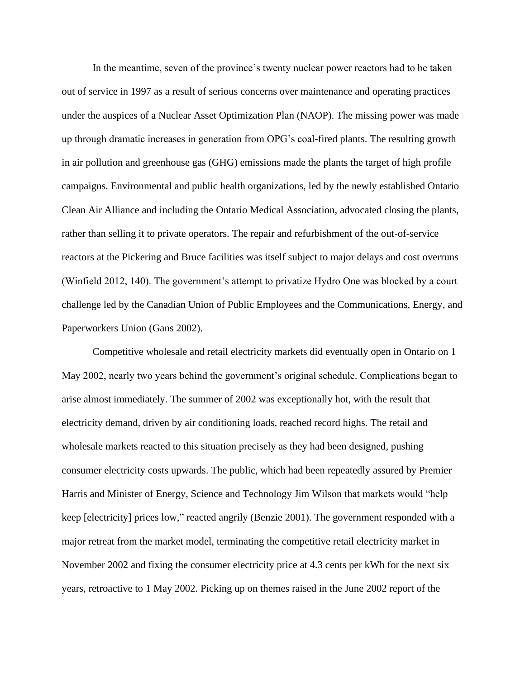In the meantime, seven of the province's twenty nuclear power reactors had to be taken out of service in 1997 as a result of serious concerns over maintenance and operating practices under the auspices of a Nuclear Asset Optimization Plan (NAOP). The missing power was made up through dramatic increases in generation from OPG's coal-fired plants. The resulting growth in air pollution and greenhouse gas (GHG) emissions made the plants the target of high profile campaigns. Environmental and public health organizations, led by the newly established Ontario Clean Air Alliance and including the Ontario Medical Association, advocated closing the plants, rather than selling it to private operators. The repair and refurbishment of the out-of-service reactors at the Pickering and Bruce facilities was itself subject to major delays and cost overruns (Winfield 2012, 140). The government's attempt to privatize Hydro One was blocked by a court challenge led by the Canadian Union of Public Employees and the Communications, Energy, and Paperworkers Union (Gans 2002).

Competitive wholesale and retail electricity markets did eventually open in Ontario on 1 May 2002, nearly two years behind the government's original schedule. Complications began to arise almost immediately. The summer of 2002 was exceptionally hot, with the result that electricity demand, driven by air conditioning loads, reached record highs. The retail and wholesale markets reacted to this situation precisely as they had been designed, pushing consumer electricity costs upwards. The public, which had been repeatedly assured by Premier Harris and Minister of Energy, Science and Technology Jim Wilson that markets would "help keep [electricity] prices low," reacted angrily (Benzie 2001). The government responded with a major retreat from the market model, terminating the competitive retail electricity market in November 2002 and fixing the consumer electricity price at 4.3 cents per kWh for the next six years, retroactive to 1 May 2002. Picking up on themes raised in the June 2002 report of the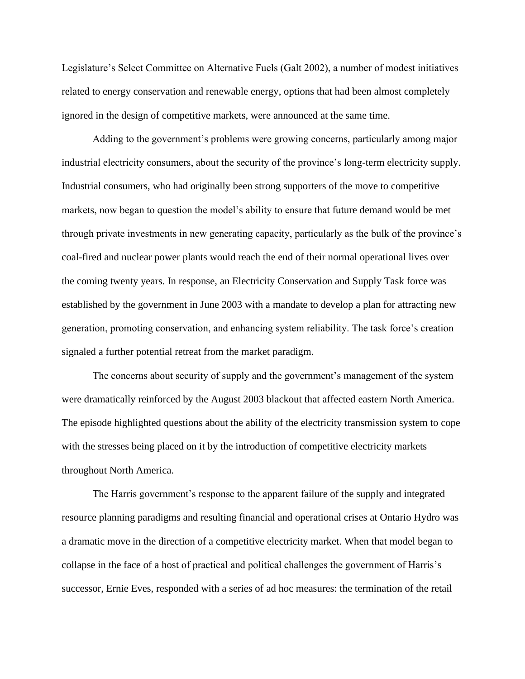Legislature's Select Committee on Alternative Fuels (Galt 2002), a number of modest initiatives related to energy conservation and renewable energy, options that had been almost completely ignored in the design of competitive markets, were announced at the same time.

Adding to the government's problems were growing concerns, particularly among major industrial electricity consumers, about the security of the province's long-term electricity supply. Industrial consumers, who had originally been strong supporters of the move to competitive markets, now began to question the model's ability to ensure that future demand would be met through private investments in new generating capacity, particularly as the bulk of the province's coal-fired and nuclear power plants would reach the end of their normal operational lives over the coming twenty years. In response, an Electricity Conservation and Supply Task force was established by the government in June 2003 with a mandate to develop a plan for attracting new generation, promoting conservation, and enhancing system reliability. The task force's creation signaled a further potential retreat from the market paradigm.

The concerns about security of supply and the government's management of the system were dramatically reinforced by the August 2003 blackout that affected eastern North America. The episode highlighted questions about the ability of the electricity transmission system to cope with the stresses being placed on it by the introduction of competitive electricity markets throughout North America.

The Harris government's response to the apparent failure of the supply and integrated resource planning paradigms and resulting financial and operational crises at Ontario Hydro was a dramatic move in the direction of a competitive electricity market. When that model began to collapse in the face of a host of practical and political challenges the government of Harris's successor, Ernie Eves, responded with a series of ad hoc measures: the termination of the retail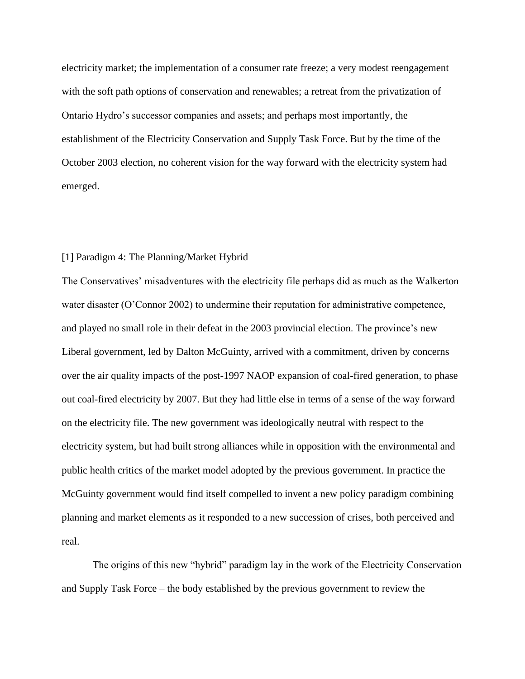electricity market; the implementation of a consumer rate freeze; a very modest reengagement with the soft path options of conservation and renewables; a retreat from the privatization of Ontario Hydro's successor companies and assets; and perhaps most importantly, the establishment of the Electricity Conservation and Supply Task Force. But by the time of the October 2003 election, no coherent vision for the way forward with the electricity system had emerged.

## [1] Paradigm 4: The Planning/Market Hybrid

The Conservatives' misadventures with the electricity file perhaps did as much as the Walkerton water disaster (O'Connor 2002) to undermine their reputation for administrative competence, and played no small role in their defeat in the 2003 provincial election. The province's new Liberal government, led by Dalton McGuinty, arrived with a commitment, driven by concerns over the air quality impacts of the post-1997 NAOP expansion of coal-fired generation, to phase out coal-fired electricity by 2007. But they had little else in terms of a sense of the way forward on the electricity file. The new government was ideologically neutral with respect to the electricity system, but had built strong alliances while in opposition with the environmental and public health critics of the market model adopted by the previous government. In practice the McGuinty government would find itself compelled to invent a new policy paradigm combining planning and market elements as it responded to a new succession of crises, both perceived and real.

The origins of this new "hybrid" paradigm lay in the work of the Electricity Conservation and Supply Task Force – the body established by the previous government to review the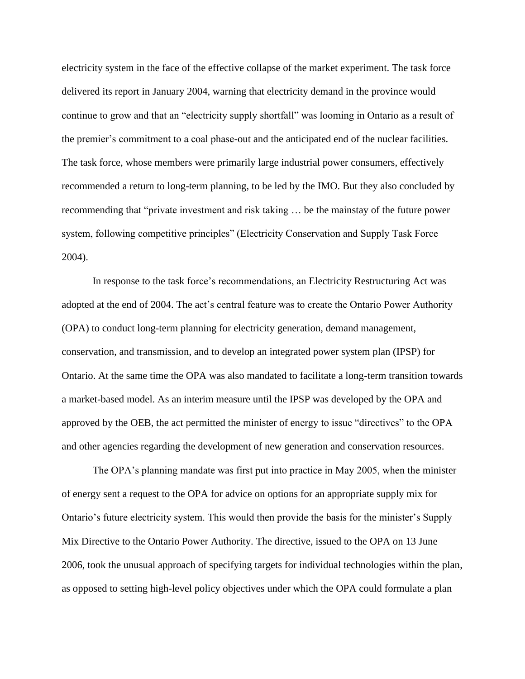electricity system in the face of the effective collapse of the market experiment. The task force delivered its report in January 2004, warning that electricity demand in the province would continue to grow and that an "electricity supply shortfall" was looming in Ontario as a result of the premier's commitment to a coal phase-out and the anticipated end of the nuclear facilities. The task force, whose members were primarily large industrial power consumers, effectively recommended a return to long-term planning, to be led by the IMO. But they also concluded by recommending that "private investment and risk taking … be the mainstay of the future power system, following competitive principles" (Electricity Conservation and Supply Task Force 2004).

In response to the task force's recommendations, an Electricity Restructuring Act was adopted at the end of 2004. The act's central feature was to create the Ontario Power Authority (OPA) to conduct long-term planning for electricity generation, demand management, conservation, and transmission, and to develop an integrated power system plan (IPSP) for Ontario. At the same time the OPA was also mandated to facilitate a long-term transition towards a market-based model. As an interim measure until the IPSP was developed by the OPA and approved by the OEB, the act permitted the minister of energy to issue "directives" to the OPA and other agencies regarding the development of new generation and conservation resources.

The OPA's planning mandate was first put into practice in May 2005, when the minister of energy sent a request to the OPA for advice on options for an appropriate supply mix for Ontario's future electricity system. This would then provide the basis for the minister's Supply Mix Directive to the Ontario Power Authority. The directive, issued to the OPA on 13 June 2006, took the unusual approach of specifying targets for individual technologies within the plan, as opposed to setting high-level policy objectives under which the OPA could formulate a plan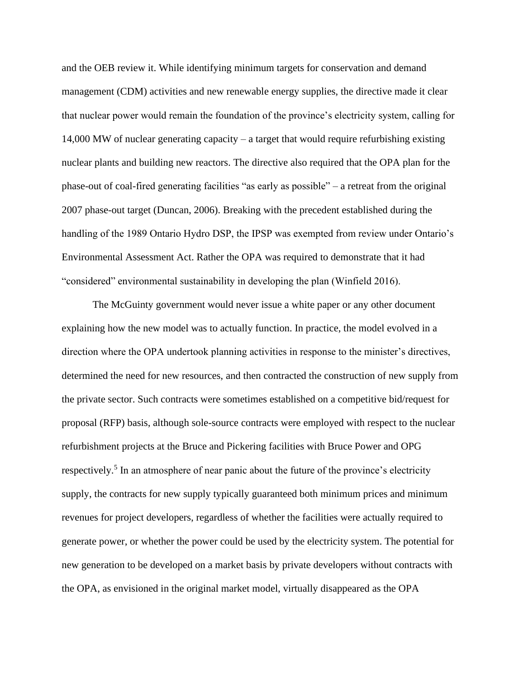and the OEB review it. While identifying minimum targets for conservation and demand management (CDM) activities and new renewable energy supplies, the directive made it clear that nuclear power would remain the foundation of the province's electricity system, calling for 14,000 MW of nuclear generating capacity – a target that would require refurbishing existing nuclear plants and building new reactors. The directive also required that the OPA plan for the phase-out of coal-fired generating facilities "as early as possible" – a retreat from the original 2007 phase-out target (Duncan, 2006). Breaking with the precedent established during the handling of the 1989 Ontario Hydro DSP, the IPSP was exempted from review under Ontario's Environmental Assessment Act. Rather the OPA was required to demonstrate that it had "considered" environmental sustainability in developing the plan (Winfield 2016).

The McGuinty government would never issue a white paper or any other document explaining how the new model was to actually function. In practice, the model evolved in a direction where the OPA undertook planning activities in response to the minister's directives, determined the need for new resources, and then contracted the construction of new supply from the private sector. Such contracts were sometimes established on a competitive bid/request for proposal (RFP) basis, although sole-source contracts were employed with respect to the nuclear refurbishment projects at the Bruce and Pickering facilities with Bruce Power and OPG respectively.<sup>5</sup> In an atmosphere of near panic about the future of the province's electricity supply, the contracts for new supply typically guaranteed both minimum prices and minimum revenues for project developers, regardless of whether the facilities were actually required to generate power, or whether the power could be used by the electricity system. The potential for new generation to be developed on a market basis by private developers without contracts with the OPA, as envisioned in the original market model, virtually disappeared as the OPA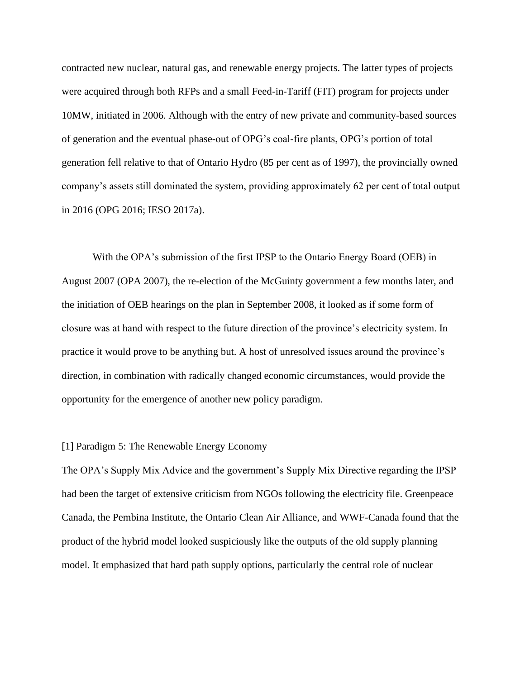contracted new nuclear, natural gas, and renewable energy projects. The latter types of projects were acquired through both RFPs and a small Feed-in-Tariff (FIT) program for projects under 10MW, initiated in 2006. Although with the entry of new private and community-based sources of generation and the eventual phase-out of OPG's coal-fire plants, OPG's portion of total generation fell relative to that of Ontario Hydro (85 per cent as of 1997), the provincially owned company's assets still dominated the system, providing approximately 62 per cent of total output in 2016 (OPG 2016; IESO 2017a).

With the OPA's submission of the first IPSP to the Ontario Energy Board (OEB) in August 2007 (OPA 2007), the re-election of the McGuinty government a few months later, and the initiation of OEB hearings on the plan in September 2008, it looked as if some form of closure was at hand with respect to the future direction of the province's electricity system. In practice it would prove to be anything but. A host of unresolved issues around the province's direction, in combination with radically changed economic circumstances, would provide the opportunity for the emergence of another new policy paradigm.

### [1] Paradigm 5: The Renewable Energy Economy

The OPA's Supply Mix Advice and the government's Supply Mix Directive regarding the IPSP had been the target of extensive criticism from NGOs following the electricity file. Greenpeace Canada, the Pembina Institute, the Ontario Clean Air Alliance, and WWF-Canada found that the product of the hybrid model looked suspiciously like the outputs of the old supply planning model. It emphasized that hard path supply options, particularly the central role of nuclear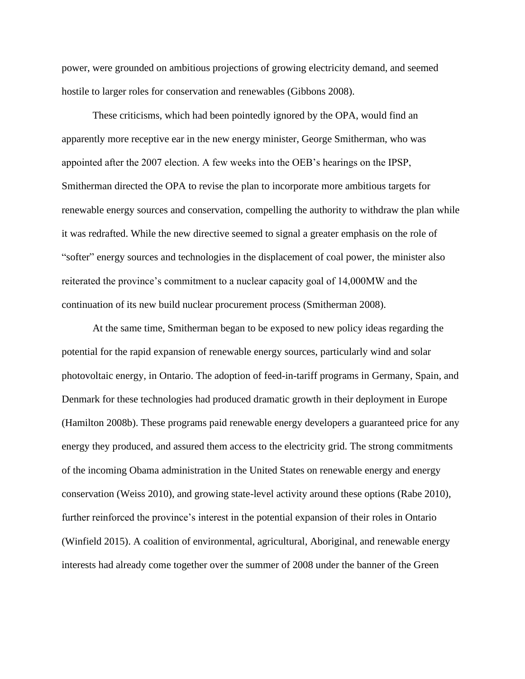power, were grounded on ambitious projections of growing electricity demand, and seemed hostile to larger roles for conservation and renewables (Gibbons 2008).

These criticisms, which had been pointedly ignored by the OPA, would find an apparently more receptive ear in the new energy minister, George Smitherman, who was appointed after the 2007 election. A few weeks into the OEB's hearings on the IPSP, Smitherman directed the OPA to revise the plan to incorporate more ambitious targets for renewable energy sources and conservation, compelling the authority to withdraw the plan while it was redrafted. While the new directive seemed to signal a greater emphasis on the role of "softer" energy sources and technologies in the displacement of coal power, the minister also reiterated the province's commitment to a nuclear capacity goal of 14,000MW and the continuation of its new build nuclear procurement process (Smitherman 2008).

At the same time, Smitherman began to be exposed to new policy ideas regarding the potential for the rapid expansion of renewable energy sources, particularly wind and solar photovoltaic energy, in Ontario. The adoption of feed-in-tariff programs in Germany, Spain, and Denmark for these technologies had produced dramatic growth in their deployment in Europe (Hamilton 2008b). These programs paid renewable energy developers a guaranteed price for any energy they produced, and assured them access to the electricity grid. The strong commitments of the incoming Obama administration in the United States on renewable energy and energy conservation (Weiss 2010), and growing state-level activity around these options (Rabe 2010), further reinforced the province's interest in the potential expansion of their roles in Ontario (Winfield 2015). A coalition of environmental, agricultural, Aboriginal, and renewable energy interests had already come together over the summer of 2008 under the banner of the Green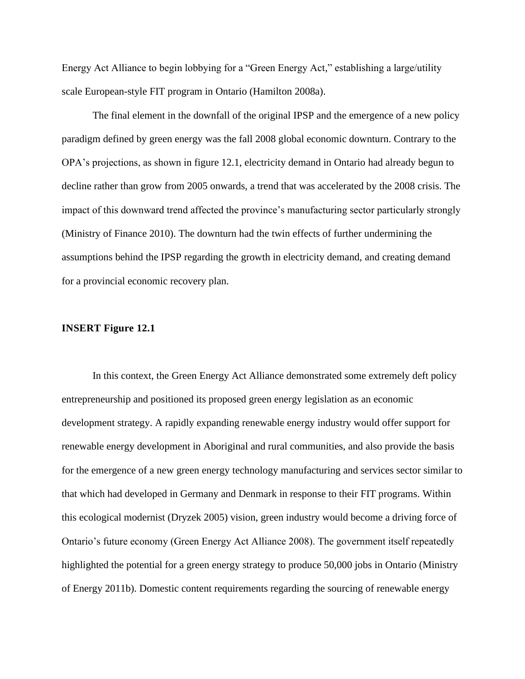Energy Act Alliance to begin lobbying for a "Green Energy Act," establishing a large/utility scale European-style FIT program in Ontario (Hamilton 2008a).

The final element in the downfall of the original IPSP and the emergence of a new policy paradigm defined by green energy was the fall 2008 global economic downturn. Contrary to the OPA's projections, as shown in figure 12.1, electricity demand in Ontario had already begun to decline rather than grow from 2005 onwards, a trend that was accelerated by the 2008 crisis. The impact of this downward trend affected the province's manufacturing sector particularly strongly (Ministry of Finance 2010). The downturn had the twin effects of further undermining the assumptions behind the IPSP regarding the growth in electricity demand, and creating demand for a provincial economic recovery plan.

#### **INSERT Figure 12.1**

In this context, the Green Energy Act Alliance demonstrated some extremely deft policy entrepreneurship and positioned its proposed green energy legislation as an economic development strategy. A rapidly expanding renewable energy industry would offer support for renewable energy development in Aboriginal and rural communities, and also provide the basis for the emergence of a new green energy technology manufacturing and services sector similar to that which had developed in Germany and Denmark in response to their FIT programs. Within this ecological modernist (Dryzek 2005) vision, green industry would become a driving force of Ontario's future economy (Green Energy Act Alliance 2008). The government itself repeatedly highlighted the potential for a green energy strategy to produce 50,000 jobs in Ontario (Ministry of Energy 2011b). Domestic content requirements regarding the sourcing of renewable energy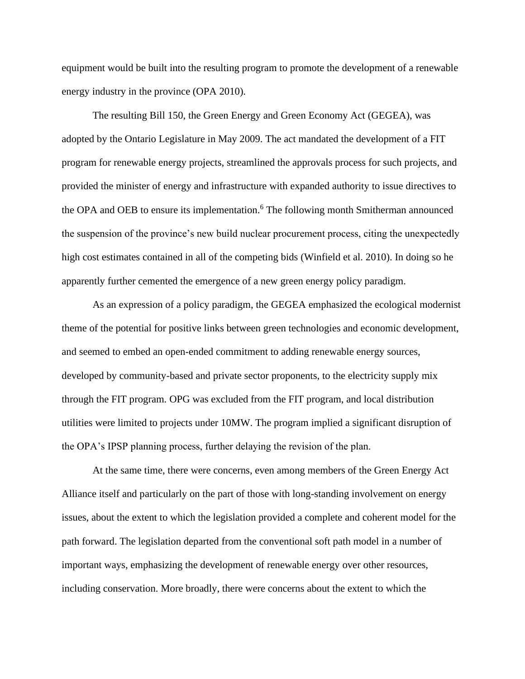equipment would be built into the resulting program to promote the development of a renewable energy industry in the province (OPA 2010).

The resulting Bill 150, the Green Energy and Green Economy Act (GEGEA), was adopted by the Ontario Legislature in May 2009. The act mandated the development of a FIT program for renewable energy projects, streamlined the approvals process for such projects, and provided the minister of energy and infrastructure with expanded authority to issue directives to the OPA and OEB to ensure its implementation.<sup>6</sup> The following month Smitherman announced the suspension of the province's new build nuclear procurement process, citing the unexpectedly high cost estimates contained in all of the competing bids (Winfield et al. 2010). In doing so he apparently further cemented the emergence of a new green energy policy paradigm.

As an expression of a policy paradigm, the GEGEA emphasized the ecological modernist theme of the potential for positive links between green technologies and economic development, and seemed to embed an open-ended commitment to adding renewable energy sources, developed by community-based and private sector proponents, to the electricity supply mix through the FIT program. OPG was excluded from the FIT program, and local distribution utilities were limited to projects under 10MW. The program implied a significant disruption of the OPA's IPSP planning process, further delaying the revision of the plan.

At the same time, there were concerns, even among members of the Green Energy Act Alliance itself and particularly on the part of those with long-standing involvement on energy issues, about the extent to which the legislation provided a complete and coherent model for the path forward. The legislation departed from the conventional soft path model in a number of important ways, emphasizing the development of renewable energy over other resources, including conservation. More broadly, there were concerns about the extent to which the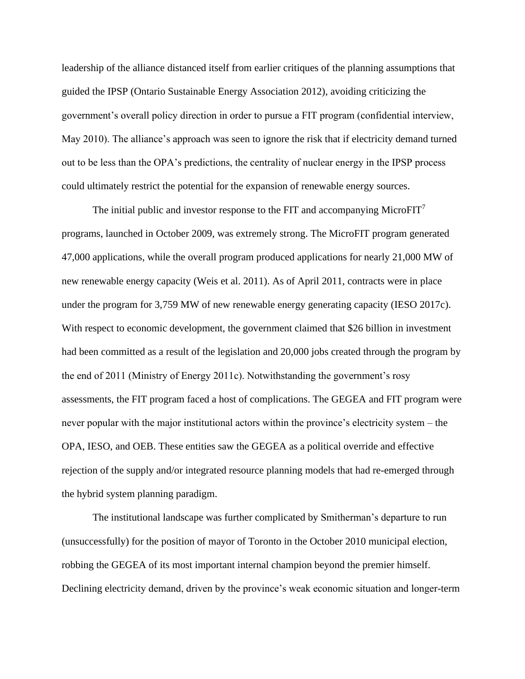leadership of the alliance distanced itself from earlier critiques of the planning assumptions that guided the IPSP (Ontario Sustainable Energy Association 2012), avoiding criticizing the government's overall policy direction in order to pursue a FIT program (confidential interview, May 2010). The alliance's approach was seen to ignore the risk that if electricity demand turned out to be less than the OPA's predictions, the centrality of nuclear energy in the IPSP process could ultimately restrict the potential for the expansion of renewable energy sources.

The initial public and investor response to the FIT and accompanying MicroFIT<sup>7</sup> programs, launched in October 2009, was extremely strong. The MicroFIT program generated 47,000 applications, while the overall program produced applications for nearly 21,000 MW of new renewable energy capacity (Weis et al. 2011). As of April 2011, contracts were in place under the program for 3,759 MW of new renewable energy generating capacity (IESO 2017c). With respect to economic development, the government claimed that \$26 billion in investment had been committed as a result of the legislation and 20,000 jobs created through the program by the end of 2011 (Ministry of Energy 2011c). Notwithstanding the government's rosy assessments, the FIT program faced a host of complications. The GEGEA and FIT program were never popular with the major institutional actors within the province's electricity system – the OPA, IESO, and OEB. These entities saw the GEGEA as a political override and effective rejection of the supply and/or integrated resource planning models that had re-emerged through the hybrid system planning paradigm.

The institutional landscape was further complicated by Smitherman's departure to run (unsuccessfully) for the position of mayor of Toronto in the October 2010 municipal election, robbing the GEGEA of its most important internal champion beyond the premier himself. Declining electricity demand, driven by the province's weak economic situation and longer-term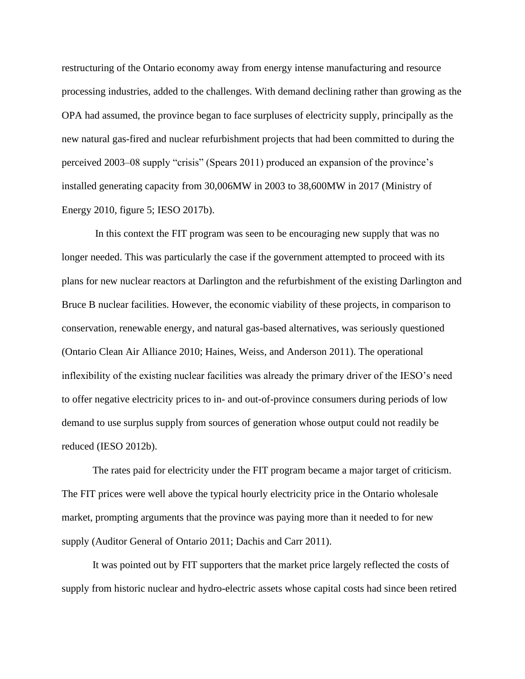restructuring of the Ontario economy away from energy intense manufacturing and resource processing industries, added to the challenges. With demand declining rather than growing as the OPA had assumed, the province began to face surpluses of electricity supply, principally as the new natural gas-fired and nuclear refurbishment projects that had been committed to during the perceived 2003–08 supply "crisis" (Spears 2011) produced an expansion of the province's installed generating capacity from 30,006MW in 2003 to 38,600MW in 2017 (Ministry of Energy 2010, figure 5; IESO 2017b).

In this context the FIT program was seen to be encouraging new supply that was no longer needed. This was particularly the case if the government attempted to proceed with its plans for new nuclear reactors at Darlington and the refurbishment of the existing Darlington and Bruce B nuclear facilities. However, the economic viability of these projects, in comparison to conservation, renewable energy, and natural gas-based alternatives, was seriously questioned (Ontario Clean Air Alliance 2010; Haines, Weiss, and Anderson 2011). The operational inflexibility of the existing nuclear facilities was already the primary driver of the IESO's need to offer negative electricity prices to in- and out-of-province consumers during periods of low demand to use surplus supply from sources of generation whose output could not readily be reduced (IESO 2012b).

The rates paid for electricity under the FIT program became a major target of criticism. The FIT prices were well above the typical hourly electricity price in the Ontario wholesale market, prompting arguments that the province was paying more than it needed to for new supply (Auditor General of Ontario 2011; Dachis and Carr 2011).

It was pointed out by FIT supporters that the market price largely reflected the costs of supply from historic nuclear and hydro-electric assets whose capital costs had since been retired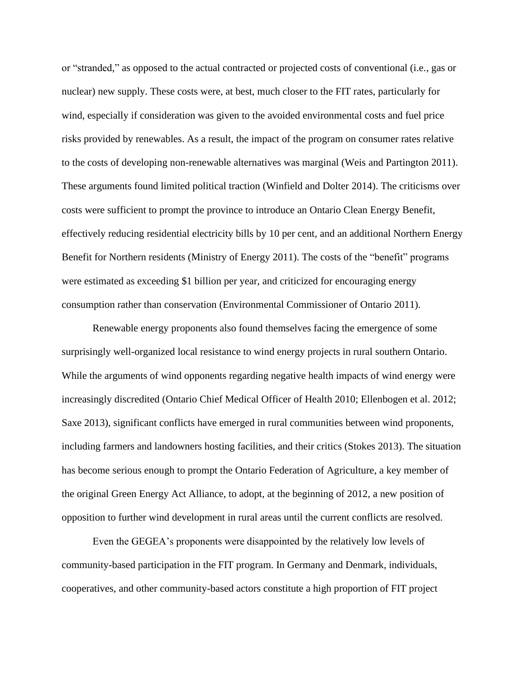or "stranded," as opposed to the actual contracted or projected costs of conventional (i.e., gas or nuclear) new supply. These costs were, at best, much closer to the FIT rates, particularly for wind, especially if consideration was given to the avoided environmental costs and fuel price risks provided by renewables. As a result, the impact of the program on consumer rates relative to the costs of developing non-renewable alternatives was marginal (Weis and Partington 2011). These arguments found limited political traction (Winfield and Dolter 2014). The criticisms over costs were sufficient to prompt the province to introduce an Ontario Clean Energy Benefit, effectively reducing residential electricity bills by 10 per cent, and an additional Northern Energy Benefit for Northern residents (Ministry of Energy 2011). The costs of the "benefit" programs were estimated as exceeding \$1 billion per year, and criticized for encouraging energy consumption rather than conservation (Environmental Commissioner of Ontario 2011).

Renewable energy proponents also found themselves facing the emergence of some surprisingly well-organized local resistance to wind energy projects in rural southern Ontario. While the arguments of wind opponents regarding negative health impacts of wind energy were increasingly discredited (Ontario Chief Medical Officer of Health 2010; Ellenbogen et al. 2012; Saxe 2013), significant conflicts have emerged in rural communities between wind proponents, including farmers and landowners hosting facilities, and their critics (Stokes 2013). The situation has become serious enough to prompt the Ontario Federation of Agriculture, a key member of the original Green Energy Act Alliance, to adopt, at the beginning of 2012, a new position of opposition to further wind development in rural areas until the current conflicts are resolved.

Even the GEGEA's proponents were disappointed by the relatively low levels of community-based participation in the FIT program. In Germany and Denmark, individuals, cooperatives, and other community-based actors constitute a high proportion of FIT project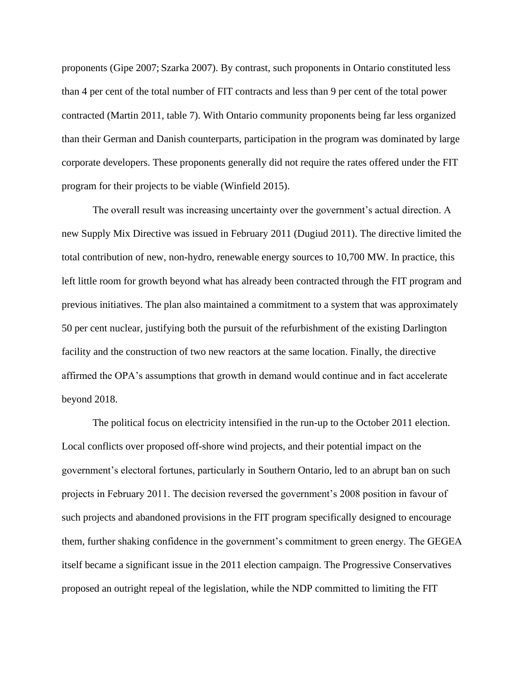proponents (Gipe 2007; Szarka 2007). By contrast, such proponents in Ontario constituted less than 4 per cent of the total number of FIT contracts and less than 9 per cent of the total power contracted (Martin 2011, table 7). With Ontario community proponents being far less organized than their German and Danish counterparts, participation in the program was dominated by large corporate developers. These proponents generally did not require the rates offered under the FIT program for their projects to be viable (Winfield 2015).

The overall result was increasing uncertainty over the government's actual direction. A new Supply Mix Directive was issued in February 2011 (Dugiud 2011). The directive limited the total contribution of new, non-hydro, renewable energy sources to 10,700 MW. In practice, this left little room for growth beyond what has already been contracted through the FIT program and previous initiatives. The plan also maintained a commitment to a system that was approximately 50 per cent nuclear, justifying both the pursuit of the refurbishment of the existing Darlington facility and the construction of two new reactors at the same location. Finally, the directive affirmed the OPA's assumptions that growth in demand would continue and in fact accelerate beyond 2018.

The political focus on electricity intensified in the run-up to the October 2011 election. Local conflicts over proposed off-shore wind projects, and their potential impact on the government's electoral fortunes, particularly in Southern Ontario, led to an abrupt ban on such projects in February 2011. The decision reversed the government's 2008 position in favour of such projects and abandoned provisions in the FIT program specifically designed to encourage them, further shaking confidence in the government's commitment to green energy. The GEGEA itself became a significant issue in the 2011 election campaign. The Progressive Conservatives proposed an outright repeal of the legislation, while the NDP committed to limiting the FIT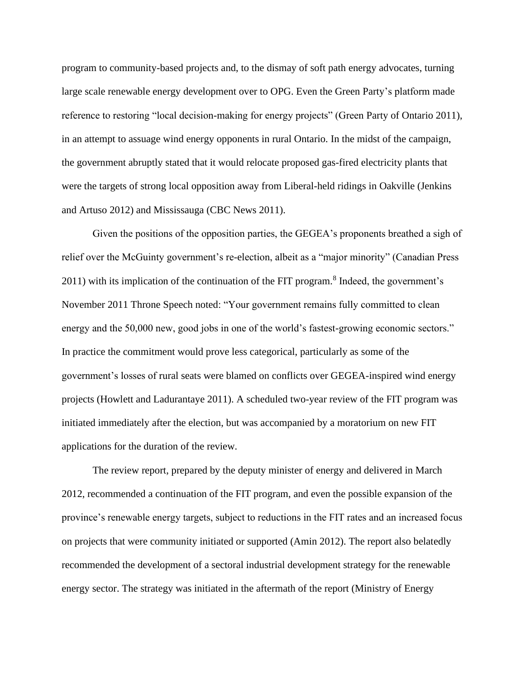program to community-based projects and, to the dismay of soft path energy advocates, turning large scale renewable energy development over to OPG. Even the Green Party's platform made reference to restoring "local decision-making for energy projects" (Green Party of Ontario 2011), in an attempt to assuage wind energy opponents in rural Ontario. In the midst of the campaign, the government abruptly stated that it would relocate proposed gas-fired electricity plants that were the targets of strong local opposition away from Liberal-held ridings in Oakville (Jenkins and Artuso 2012) and Mississauga (CBC News 2011).

Given the positions of the opposition parties, the GEGEA's proponents breathed a sigh of relief over the McGuinty government's re-election, albeit as a "major minority" (Canadian Press 2011) with its implication of the continuation of the FIT program.<sup>8</sup> Indeed, the government's November 2011 Throne Speech noted: "Your government remains fully committed to clean energy and the 50,000 new, good jobs in one of the world's fastest-growing economic sectors." In practice the commitment would prove less categorical, particularly as some of the government's losses of rural seats were blamed on conflicts over GEGEA-inspired wind energy projects (Howlett and Ladurantaye 2011). A scheduled two-year review of the FIT program was initiated immediately after the election, but was accompanied by a moratorium on new FIT applications for the duration of the review.

The review report, prepared by the deputy minister of energy and delivered in March 2012, recommended a continuation of the FIT program, and even the possible expansion of the province's renewable energy targets, subject to reductions in the FIT rates and an increased focus on projects that were community initiated or supported (Amin 2012). The report also belatedly recommended the development of a sectoral industrial development strategy for the renewable energy sector. The strategy was initiated in the aftermath of the report (Ministry of Energy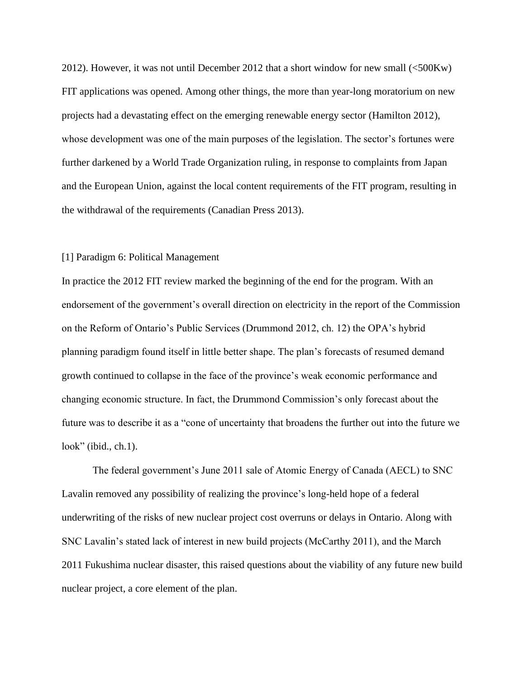2012). However, it was not until December 2012 that a short window for new small (<500Kw) FIT applications was opened. Among other things, the more than year-long moratorium on new projects had a devastating effect on the emerging renewable energy sector (Hamilton 2012), whose development was one of the main purposes of the legislation. The sector's fortunes were further darkened by a World Trade Organization ruling, in response to complaints from Japan and the European Union, against the local content requirements of the FIT program, resulting in the withdrawal of the requirements (Canadian Press 2013).

### [1] Paradigm 6: Political Management

In practice the 2012 FIT review marked the beginning of the end for the program. With an endorsement of the government's overall direction on electricity in the report of the Commission on the Reform of Ontario's Public Services (Drummond 2012, ch. 12) the OPA's hybrid planning paradigm found itself in little better shape. The plan's forecasts of resumed demand growth continued to collapse in the face of the province's weak economic performance and changing economic structure. In fact, the Drummond Commission's only forecast about the future was to describe it as a "cone of uncertainty that broadens the further out into the future we look" (ibid., ch.1).

The federal government's June 2011 sale of Atomic Energy of Canada (AECL) to SNC Lavalin removed any possibility of realizing the province's long-held hope of a federal underwriting of the risks of new nuclear project cost overruns or delays in Ontario. Along with SNC Lavalin's stated lack of interest in new build projects (McCarthy 2011), and the March 2011 Fukushima nuclear disaster, this raised questions about the viability of any future new build nuclear project, a core element of the plan.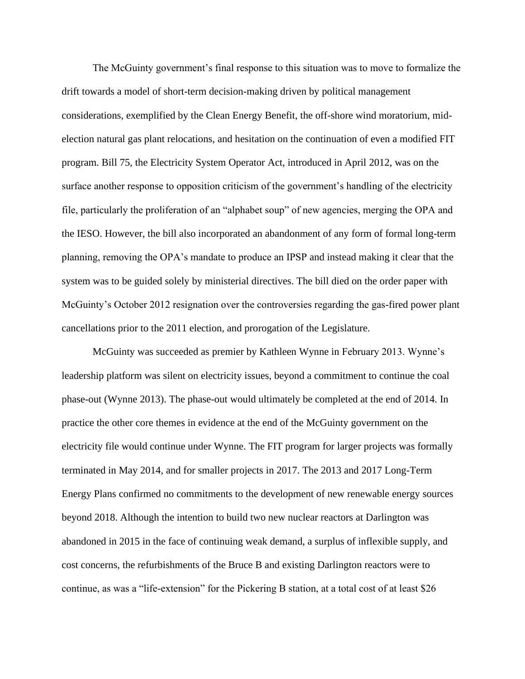The McGuinty government's final response to this situation was to move to formalize the drift towards a model of short-term decision-making driven by political management considerations, exemplified by the Clean Energy Benefit, the off-shore wind moratorium, midelection natural gas plant relocations, and hesitation on the continuation of even a modified FIT program. Bill 75, the Electricity System Operator Act, introduced in April 2012, was on the surface another response to opposition criticism of the government's handling of the electricity file, particularly the proliferation of an "alphabet soup" of new agencies, merging the OPA and the IESO. However, the bill also incorporated an abandonment of any form of formal long-term planning, removing the OPA's mandate to produce an IPSP and instead making it clear that the system was to be guided solely by ministerial directives. The bill died on the order paper with McGuinty's October 2012 resignation over the controversies regarding the gas-fired power plant cancellations prior to the 2011 election, and prorogation of the Legislature.

McGuinty was succeeded as premier by Kathleen Wynne in February 2013. Wynne's leadership platform was silent on electricity issues, beyond a commitment to continue the coal phase-out (Wynne 2013). The phase-out would ultimately be completed at the end of 2014. In practice the other core themes in evidence at the end of the McGuinty government on the electricity file would continue under Wynne. The FIT program for larger projects was formally terminated in May 2014, and for smaller projects in 2017. The 2013 and 2017 Long-Term Energy Plans confirmed no commitments to the development of new renewable energy sources beyond 2018. Although the intention to build two new nuclear reactors at Darlington was abandoned in 2015 in the face of continuing weak demand, a surplus of inflexible supply, and cost concerns, the refurbishments of the Bruce B and existing Darlington reactors were to continue, as was a "life-extension" for the Pickering B station, at a total cost of at least \$26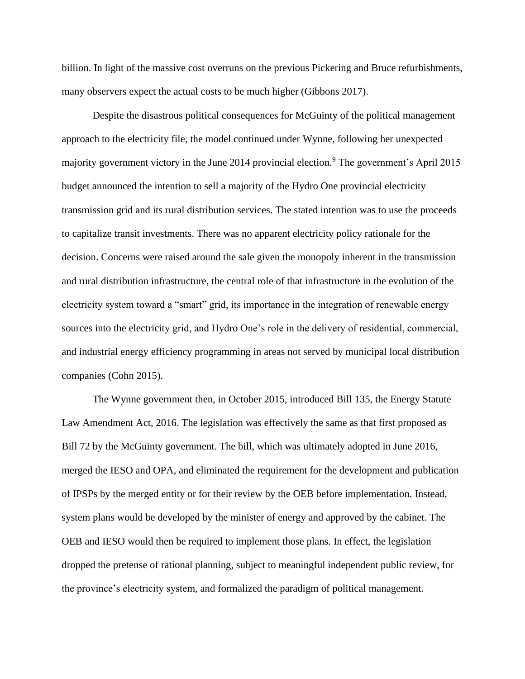billion. In light of the massive cost overruns on the previous Pickering and Bruce refurbishments, many observers expect the actual costs to be much higher (Gibbons 2017).

Despite the disastrous political consequences for McGuinty of the political management approach to the electricity file, the model continued under Wynne, following her unexpected majority government victory in the June 2014 provincial election.<sup>9</sup> The government's April 2015 budget announced the intention to sell a majority of the Hydro One provincial electricity transmission grid and its rural distribution services. The stated intention was to use the proceeds to capitalize transit investments. There was no apparent electricity policy rationale for the decision. Concerns were raised around the sale given the monopoly inherent in the transmission and rural distribution infrastructure, the central role of that infrastructure in the evolution of the electricity system toward a "smart" grid, its importance in the integration of renewable energy sources into the electricity grid, and Hydro One's role in the delivery of residential, commercial, and industrial energy efficiency programming in areas not served by municipal local distribution companies (Cohn 2015).

The Wynne government then, in October 2015, introduced Bill 135, the Energy Statute Law Amendment Act, 2016. The legislation was effectively the same as that first proposed as Bill 72 by the McGuinty government. The bill, which was ultimately adopted in June 2016, merged the IESO and OPA, and eliminated the requirement for the development and publication of IPSPs by the merged entity or for their review by the OEB before implementation. Instead, system plans would be developed by the minister of energy and approved by the cabinet. The OEB and IESO would then be required to implement those plans. In effect, the legislation dropped the pretense of rational planning, subject to meaningful independent public review, for the province's electricity system, and formalized the paradigm of political management.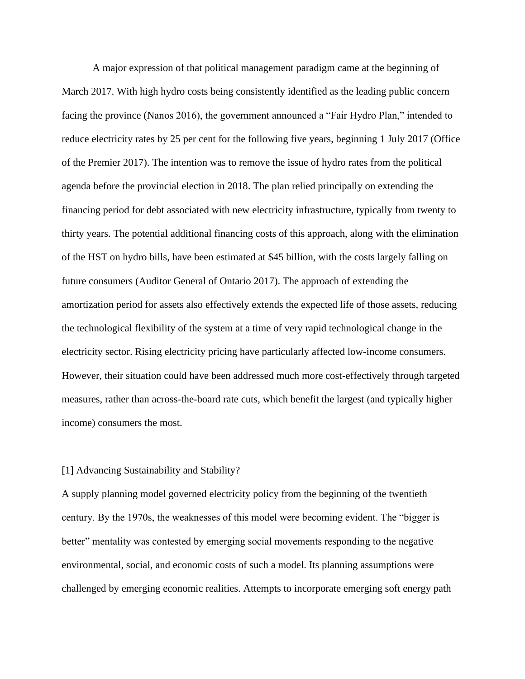A major expression of that political management paradigm came at the beginning of March 2017. With high hydro costs being consistently identified as the leading public concern facing the province (Nanos 2016), the government announced a "Fair Hydro Plan," intended to reduce electricity rates by 25 per cent for the following five years, beginning 1 July 2017 (Office of the Premier 2017). The intention was to remove the issue of hydro rates from the political agenda before the provincial election in 2018. The plan relied principally on extending the financing period for debt associated with new electricity infrastructure, typically from twenty to thirty years. The potential additional financing costs of this approach, along with the elimination of the HST on hydro bills, have been estimated at \$45 billion, with the costs largely falling on future consumers (Auditor General of Ontario 2017). The approach of extending the amortization period for assets also effectively extends the expected life of those assets, reducing the technological flexibility of the system at a time of very rapid technological change in the electricity sector. Rising electricity pricing have particularly affected low-income consumers. However, their situation could have been addressed much more cost-effectively through targeted measures, rather than across-the-board rate cuts, which benefit the largest (and typically higher income) consumers the most.

# [1] Advancing Sustainability and Stability?

A supply planning model governed electricity policy from the beginning of the twentieth century. By the 1970s, the weaknesses of this model were becoming evident. The "bigger is better" mentality was contested by emerging social movements responding to the negative environmental, social, and economic costs of such a model. Its planning assumptions were challenged by emerging economic realities. Attempts to incorporate emerging soft energy path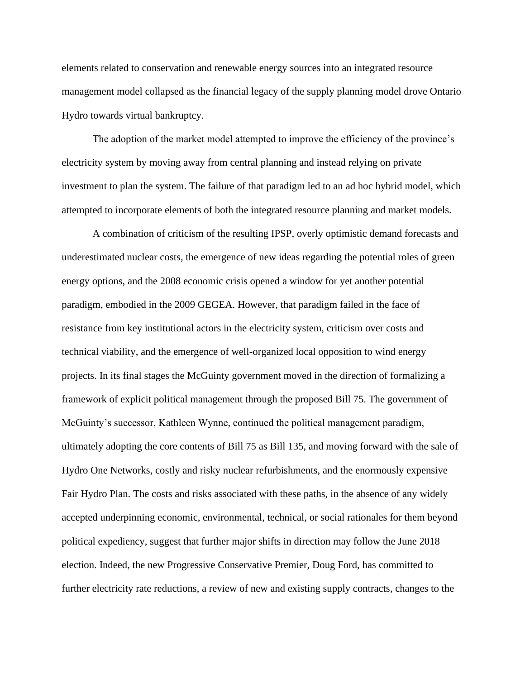elements related to conservation and renewable energy sources into an integrated resource management model collapsed as the financial legacy of the supply planning model drove Ontario Hydro towards virtual bankruptcy.

The adoption of the market model attempted to improve the efficiency of the province's electricity system by moving away from central planning and instead relying on private investment to plan the system. The failure of that paradigm led to an ad hoc hybrid model, which attempted to incorporate elements of both the integrated resource planning and market models.

A combination of criticism of the resulting IPSP, overly optimistic demand forecasts and underestimated nuclear costs, the emergence of new ideas regarding the potential roles of green energy options, and the 2008 economic crisis opened a window for yet another potential paradigm, embodied in the 2009 GEGEA. However, that paradigm failed in the face of resistance from key institutional actors in the electricity system, criticism over costs and technical viability, and the emergence of well-organized local opposition to wind energy projects. In its final stages the McGuinty government moved in the direction of formalizing a framework of explicit political management through the proposed Bill 75. The government of McGuinty's successor, Kathleen Wynne, continued the political management paradigm, ultimately adopting the core contents of Bill 75 as Bill 135, and moving forward with the sale of Hydro One Networks, costly and risky nuclear refurbishments, and the enormously expensive Fair Hydro Plan. The costs and risks associated with these paths, in the absence of any widely accepted underpinning economic, environmental, technical, or social rationales for them beyond political expediency, suggest that further major shifts in direction may follow the June 2018 election. Indeed, the new Progressive Conservative Premier, Doug Ford, has committed to further electricity rate reductions, a review of new and existing supply contracts, changes to the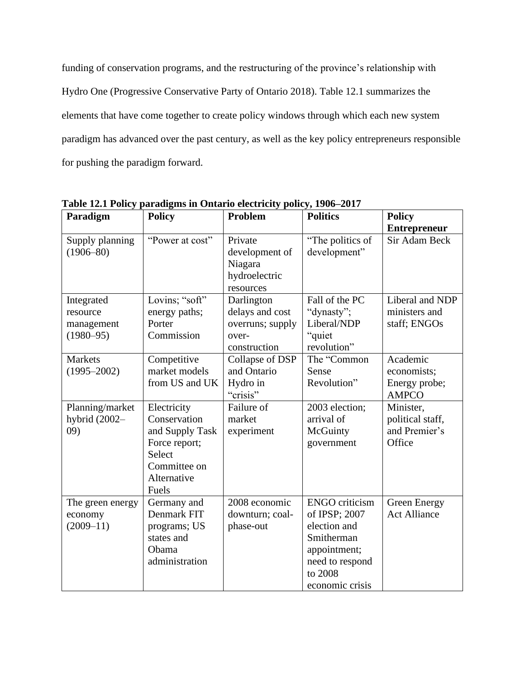funding of conservation programs, and the restructuring of the province's relationship with Hydro One (Progressive Conservative Party of Ontario 2018). Table 12.1 summarizes the elements that have come together to create policy windows through which each new system paradigm has advanced over the past century, as well as the key policy entrepreneurs responsible for pushing the paradigm forward.

| Paradigm                                              | <b>Policy</b>                                                                                                     | Problem                                                                    | <b>Politics</b>                                                                                                                       | <b>Policy</b>                                            |
|-------------------------------------------------------|-------------------------------------------------------------------------------------------------------------------|----------------------------------------------------------------------------|---------------------------------------------------------------------------------------------------------------------------------------|----------------------------------------------------------|
|                                                       |                                                                                                                   |                                                                            |                                                                                                                                       | <b>Entrepreneur</b>                                      |
| Supply planning<br>$(1906 - 80)$                      | "Power at cost"                                                                                                   | Private<br>development of<br>Niagara<br>hydroelectric<br>resources         | "The politics of<br>development"                                                                                                      | Sir Adam Beck                                            |
| Integrated<br>resource<br>management<br>$(1980 - 95)$ | Lovins; "soft"<br>energy paths;<br>Porter<br>Commission                                                           | Darlington<br>delays and cost<br>overruns; supply<br>over-<br>construction | Fall of the PC<br>"dynasty";<br>Liberal/NDP<br>"quiet<br>revolution"                                                                  | Liberal and NDP<br>ministers and<br>staff; ENGOs         |
| <b>Markets</b><br>$(1995 - 2002)$                     | Competitive<br>market models<br>from US and UK                                                                    | Collapse of DSP<br>and Ontario<br>Hydro in<br>"crisis"                     | The "Common<br>Sense<br>Revolution"                                                                                                   | Academic<br>economists;<br>Energy probe;<br><b>AMPCO</b> |
| Planning/market<br>hybrid (2002-<br>(09)              | Electricity<br>Conservation<br>and Supply Task<br>Force report;<br>Select<br>Committee on<br>Alternative<br>Fuels | Failure of<br>market<br>experiment                                         | 2003 election;<br>arrival of<br>McGuinty<br>government                                                                                | Minister,<br>political staff,<br>and Premier's<br>Office |
| The green energy<br>economy<br>$(2009 - 11)$          | Germany and<br>Denmark FIT<br>programs; US<br>states and<br>Obama<br>administration                               | 2008 economic<br>downturn; coal-<br>phase-out                              | <b>ENGO</b> criticism<br>of IPSP; 2007<br>election and<br>Smitherman<br>appointment;<br>need to respond<br>to 2008<br>economic crisis | Green Energy<br><b>Act Alliance</b>                      |

**Table 12.1 Policy paradigms in Ontario electricity policy, 1906–2017**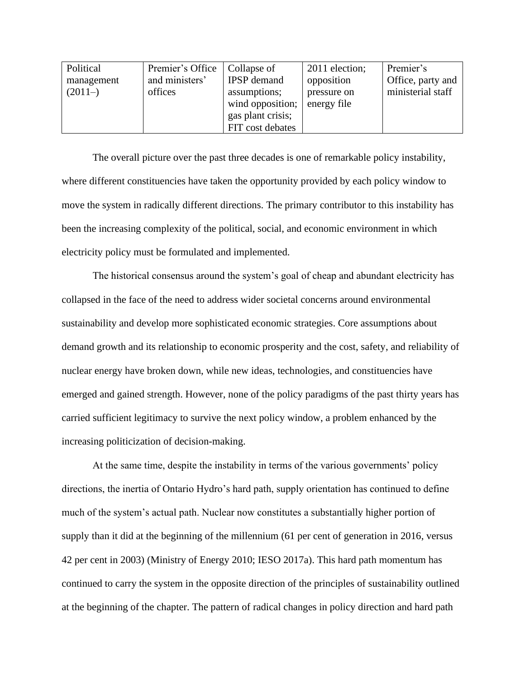| Political  | Premier's Office   Collapse of |                    | 2011 election; | Premier's         |
|------------|--------------------------------|--------------------|----------------|-------------------|
| management | and ministers'                 | <b>IPSP</b> demand | opposition     | Office, party and |
| $(2011-)$  | offices                        | assumptions;       | pressure on    | ministerial staff |
|            |                                | wind opposition;   | energy file    |                   |
|            |                                | gas plant crisis;  |                |                   |
|            |                                | FIT cost debates   |                |                   |

The overall picture over the past three decades is one of remarkable policy instability, where different constituencies have taken the opportunity provided by each policy window to move the system in radically different directions. The primary contributor to this instability has been the increasing complexity of the political, social, and economic environment in which electricity policy must be formulated and implemented.

The historical consensus around the system's goal of cheap and abundant electricity has collapsed in the face of the need to address wider societal concerns around environmental sustainability and develop more sophisticated economic strategies. Core assumptions about demand growth and its relationship to economic prosperity and the cost, safety, and reliability of nuclear energy have broken down, while new ideas, technologies, and constituencies have emerged and gained strength. However, none of the policy paradigms of the past thirty years has carried sufficient legitimacy to survive the next policy window, a problem enhanced by the increasing politicization of decision-making.

At the same time, despite the instability in terms of the various governments' policy directions, the inertia of Ontario Hydro's hard path, supply orientation has continued to define much of the system's actual path. Nuclear now constitutes a substantially higher portion of supply than it did at the beginning of the millennium (61 per cent of generation in 2016, versus 42 per cent in 2003) (Ministry of Energy 2010; IESO 2017a). This hard path momentum has continued to carry the system in the opposite direction of the principles of sustainability outlined at the beginning of the chapter. The pattern of radical changes in policy direction and hard path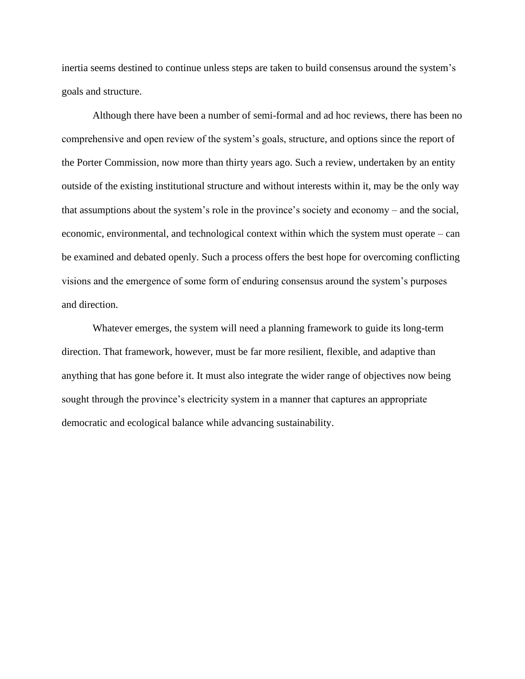inertia seems destined to continue unless steps are taken to build consensus around the system's goals and structure.

Although there have been a number of semi-formal and ad hoc reviews, there has been no comprehensive and open review of the system's goals, structure, and options since the report of the Porter Commission, now more than thirty years ago. Such a review, undertaken by an entity outside of the existing institutional structure and without interests within it, may be the only way that assumptions about the system's role in the province's society and economy – and the social, economic, environmental, and technological context within which the system must operate – can be examined and debated openly. Such a process offers the best hope for overcoming conflicting visions and the emergence of some form of enduring consensus around the system's purposes and direction.

Whatever emerges, the system will need a planning framework to guide its long-term direction. That framework, however, must be far more resilient, flexible, and adaptive than anything that has gone before it. It must also integrate the wider range of objectives now being sought through the province's electricity system in a manner that captures an appropriate democratic and ecological balance while advancing sustainability.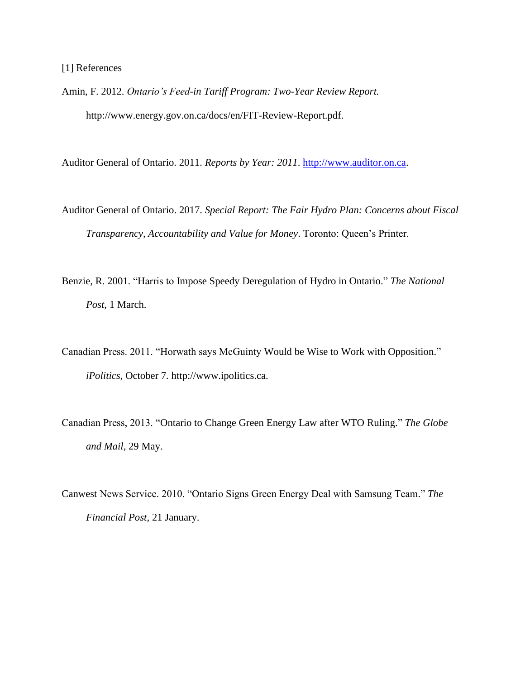### [1] References

Amin, F. 2012. *Ontario's Feed-in Tariff Program: Two-Year Review Report.* http://www.energy.gov.on.ca/docs/en/FIT-Review-Report.pdf.

Auditor General of Ontario. 2011. *Reports by Year: 2011*. [http://www.auditor.on.ca.](http://www.auditor.on.ca/)

- Auditor General of Ontario. 2017. *Special Report: The Fair Hydro Plan: Concerns about Fiscal Transparency, Accountability and Value for Money*. Toronto: Queen's Printer.
- Benzie, R. 2001. "Harris to Impose Speedy Deregulation of Hydro in Ontario." *The National Post*, 1 March.
- Canadian Press. 2011. "Horwath says McGuinty Would be Wise to Work with Opposition." *iPolitics*, October 7*.* http://www.ipolitics.ca.
- Canadian Press, 2013. "Ontario to Change Green Energy Law after WTO Ruling." *The Globe and Mail*, 29 May.
- Canwest News Service. 2010. "Ontario Signs Green Energy Deal with Samsung Team." *The Financial Post*, 21 January.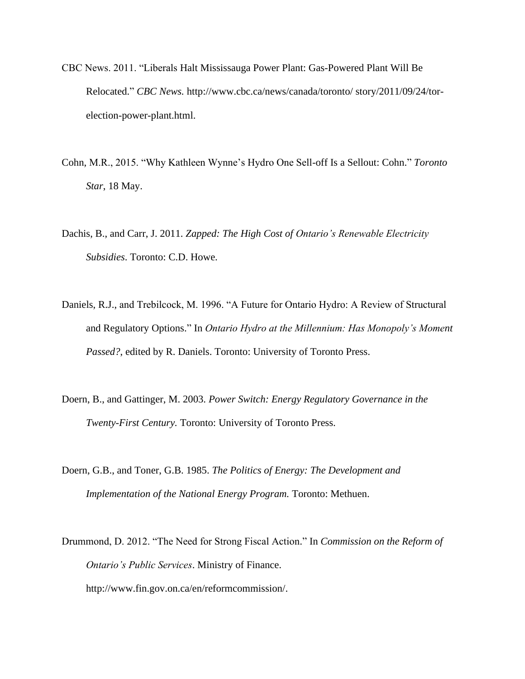- CBC News. 2011. "Liberals Halt Mississauga Power Plant: Gas-Powered Plant Will Be Relocated." *CBC News.* http://www.cbc.ca/news/canada/toronto/ story/2011/09/24/torelection-power-plant.html.
- Cohn, M.R., 2015. "Why Kathleen Wynne's Hydro One Sell-off Is a Sellout: Cohn." *Toronto Star*, 18 May.
- Dachis, B., and Carr, J. 2011. *Zapped: The High Cost of Ontario's Renewable Electricity Subsidies*. Toronto: C.D. Howe.
- Daniels, R.J., and Trebilcock, M. 1996. "A Future for Ontario Hydro: A Review of Structural and Regulatory Options." In *Ontario Hydro at the Millennium: Has Monopoly's Moment Passed?*, edited by R. Daniels. Toronto: University of Toronto Press.
- Doern, B., and Gattinger, M. 2003. *Power Switch: Energy Regulatory Governance in the Twenty-First Century.* Toronto: University of Toronto Press.
- Doern, G.B., and Toner, G.B. 1985. *The Politics of Energy: The Development and Implementation of the National Energy Program. Toronto: Methuen.*
- Drummond, D. 2012. "The Need for Strong Fiscal Action." In *Commission on the Reform of Ontario's Public Services*. Ministry of Finance.

http://www.fin.gov.on.ca/en/reformcommission/.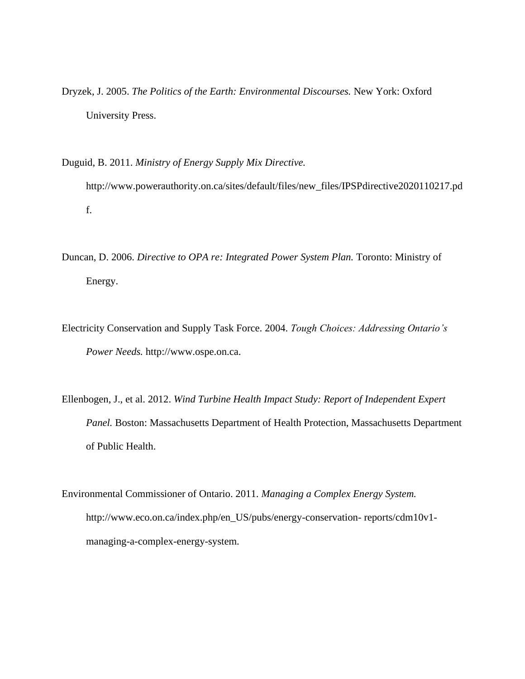- Dryzek, J. 2005. *The Politics of the Earth: Environmental Discourses.* New York: Oxford University Press.
- Duguid, B. 2011. *Ministry of Energy Supply Mix Directive.*  http://www.powerauthority.on.ca/sites/default/files/new\_files/IPSPdirective2020110217.pd f.
- Duncan, D. 2006. *Directive to OPA re: Integrated Power System Plan.* Toronto: Ministry of Energy.
- Electricity Conservation and Supply Task Force. 2004. *Tough Choices: Addressing Ontario's Power Needs.* http://www.ospe.on.ca.
- Ellenbogen, J., et al. 2012. *Wind Turbine Health Impact Study: Report of Independent Expert Panel.* Boston: Massachusetts Department of Health Protection, Massachusetts Department of Public Health.
- Environmental Commissioner of Ontario. 2011. *Managing a Complex Energy System.* http://www.eco.on.ca/index.php/en\_US/pubs/energy-conservation- reports/cdm10v1 managing-a-complex-energy-system.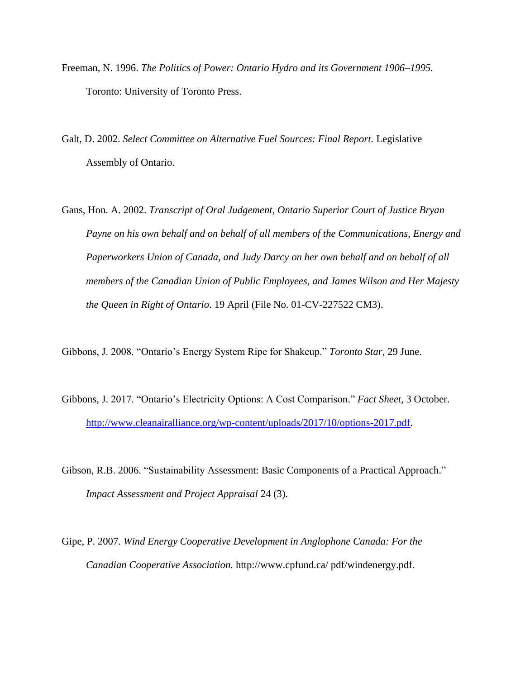- Freeman, N. 1996. *The Politics of Power: Ontario Hydro and its Government 1906–1995.*  Toronto: University of Toronto Press.
- Galt, D. 2002. *Select Committee on Alternative Fuel Sources: Final Report.* Legislative Assembly of Ontario.
- Gans, Hon. A. 2002. *Transcript of Oral Judgement, Ontario Superior Court of Justice Bryan Payne on his own behalf and on behalf of all members of the Communications, Energy and Paperworkers Union of Canada, and Judy Darcy on her own behalf and on behalf of all members of the Canadian Union of Public Employees, and James Wilson and Her Majesty the Queen in Right of Ontario*. 19 April (File No. 01-CV-227522 CM3).

Gibbons, J. 2008. "Ontario's Energy System Ripe for Shakeup." *Toronto Star*, 29 June.

- Gibbons, J. 2017. "Ontario's Electricity Options: A Cost Comparison." *Fact Sheet*, 3 October. [http://www.cleanairalliance.org/wp-content/uploads/2017/10/options-2017.pdf.](http://www.cleanairalliance.org/wp-content/uploads/2017/10/options-2017.pdf)
- Gibson, R.B. 2006. "Sustainability Assessment: Basic Components of a Practical Approach." *Impact Assessment and Project Appraisal* 24 (3).
- Gipe, P. 2007. *Wind Energy Cooperative Development in Anglophone Canada: For the Canadian Cooperative Association.* http://www.cpfund.ca/ pdf/windenergy.pdf.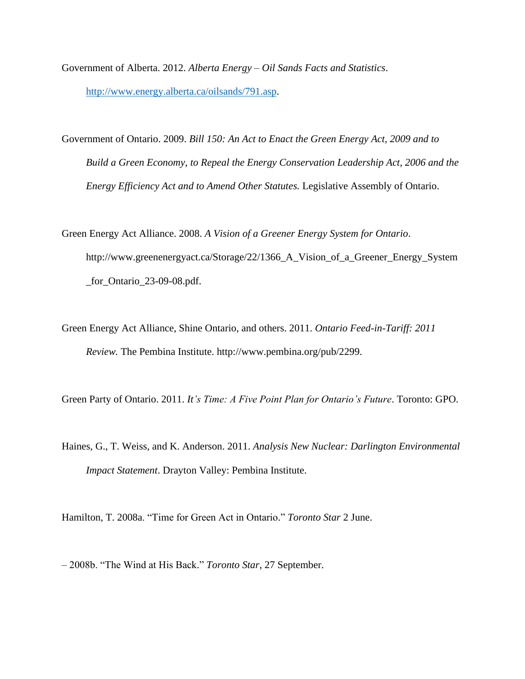Government of Alberta. 2012. *Alberta Energy – Oil Sands Facts and Statistics*. [http://www.energy.alberta.ca/oilsands/791.asp.](http://www.energy.alberta.ca/oilsands/791.asp)

- Government of Ontario. 2009. *Bill 150: An Act to Enact the Green Energy Act, 2009 and to Build a Green Economy, to Repeal the Energy Conservation Leadership Act, 2006 and the Energy Efficiency Act and to Amend Other Statutes.* Legislative Assembly of Ontario.
- Green Energy Act Alliance. 2008. *A Vision of a Greener Energy System for Ontario*. http://www.greenenergyact.ca/Storage/22/1366\_A\_Vision\_of\_a\_Greener\_Energy\_System \_for\_Ontario\_23-09-08.pdf.
- Green Energy Act Alliance, Shine Ontario, and others. 2011. *Ontario Feed-in-Tariff: 2011 Review.* The Pembina Institute. http://www.pembina.org/pub/2299.

Green Party of Ontario. 2011. *It's Time: A Five Point Plan for Ontario's Future*. Toronto: GPO.

- Haines, G., T. Weiss, and K. Anderson. 2011. *Analysis New Nuclear: Darlington Environmental Impact Statement*. Drayton Valley: Pembina Institute.
- Hamilton, T. 2008a. "Time for Green Act in Ontario." *Toronto Star* 2 June.
- 2008b. "The Wind at His Back." *Toronto Star*, 27 September.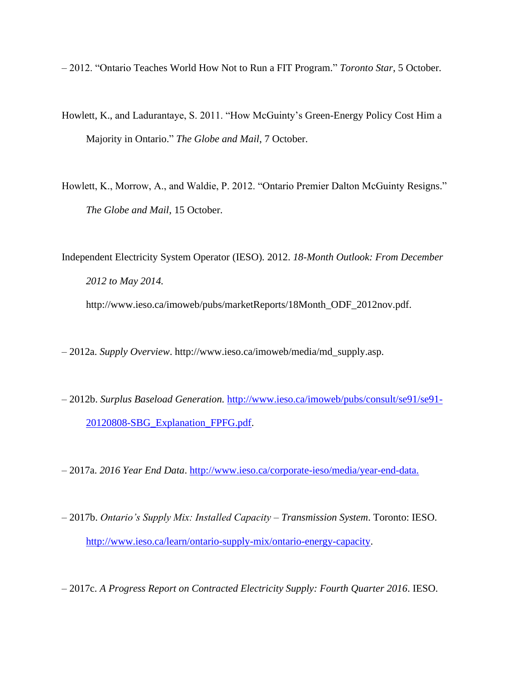– 2012. "Ontario Teaches World How Not to Run a FIT Program." *Toronto Star*, 5 October.

- Howlett, K., and Ladurantaye, S. 2011. "How McGuinty's Green-Energy Policy Cost Him a Majority in Ontario." *The Globe and Mail*, 7 October.
- Howlett, K., Morrow, A., and Waldie, P. 2012. "Ontario Premier Dalton McGuinty Resigns." *The Globe and Mail*, 15 October.
- Independent Electricity System Operator (IESO). 2012. *18-Month Outlook: From December 2012 to May 2014.*  http://www.ieso.ca/imoweb/pubs/marketReports/18Month\_ODF\_2012nov.pdf.
- 2012a. *Supply Overview*. http://www.ieso.ca/imoweb/media/md\_supply.asp.
- 2012b. *Surplus Baseload Generation.* [http://www.ieso.ca/imoweb/pubs/consult/se91/se91-](http://www.ieso.ca/imoweb/pubs/consult/se91/se91-20120808-SBG_Explanation_FPFG.pdf) [20120808-SBG\\_Explanation\\_FPFG.pdf.](http://www.ieso.ca/imoweb/pubs/consult/se91/se91-20120808-SBG_Explanation_FPFG.pdf)

– 2017a. *2016 Year End Data*. [http://www.ieso.ca/corporate-ieso/media/year-end-data.](http://www.ieso.ca/corporate-ieso/media/year-end-data)

– 2017b. *Ontario's Supply Mix: Installed Capacity – Transmission System*. Toronto: IESO. [http://www.ieso.ca/learn/ontario-supply-mix/ontario-energy-capacity.](http://www.ieso.ca/learn/ontario-supply-mix/ontario-energy-capacity)

– 2017c. *A Progress Report on Contracted Electricity Supply: Fourth Quarter 2016*. IESO.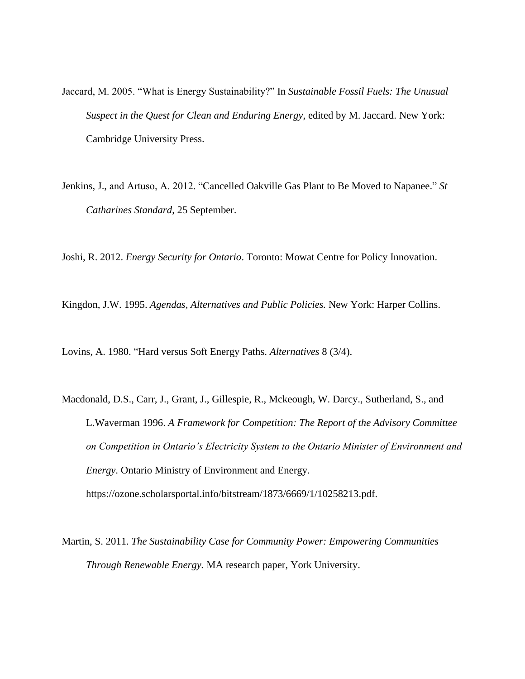- Jaccard, M. 2005. "What is Energy Sustainability?" In *Sustainable Fossil Fuels: The Unusual Suspect in the Quest for Clean and Enduring Energy*, edited by M. Jaccard. New York: Cambridge University Press.
- Jenkins, J., and Artuso, A. 2012. "Cancelled Oakville Gas Plant to Be Moved to Napanee." *St Catharines Standard*, 25 September.

Joshi, R. 2012. *Energy Security for Ontario*. Toronto: Mowat Centre for Policy Innovation.

Kingdon, J.W. 1995. *Agendas, Alternatives and Public Policies.* New York: Harper Collins.

Lovins, A. 1980. "Hard versus Soft Energy Paths. *Alternatives* 8 (3/4).

- Macdonald, D.S., Carr, J., Grant, J., Gillespie, R., Mckeough, W. Darcy., Sutherland, S., and L.Waverman 1996. *A Framework for Competition: The Report of the Advisory Committee on Competition in Ontario's Electricity System to the Ontario Minister of Environment and Energy*. Ontario Ministry of Environment and Energy. https://ozone.scholarsportal.info/bitstream/1873/6669/1/10258213.pdf.
- Martin, S. 2011. *The Sustainability Case for Community Power: Empowering Communities Through Renewable Energy.* MA research paper, York University.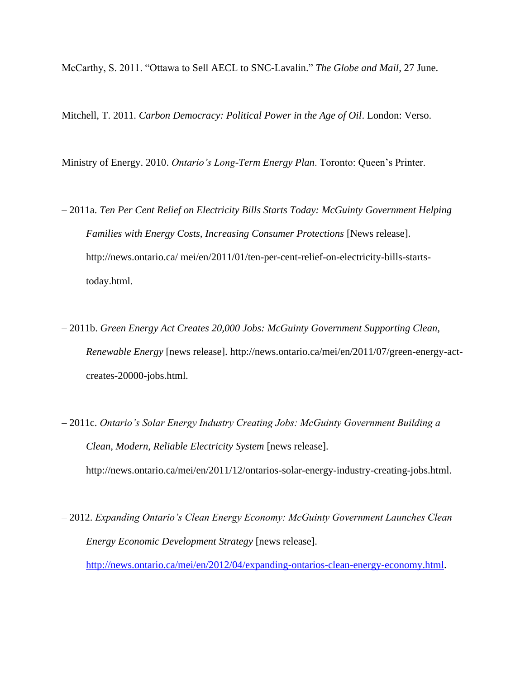McCarthy, S. 2011. "Ottawa to Sell AECL to SNC-Lavalin." *The Globe and Mail*, 27 June.

Mitchell, T. 2011. *Carbon Democracy: Political Power in the Age of Oil*. London: Verso.

Ministry of Energy. 2010. *Ontario's Long-Term Energy Plan*. Toronto: Queen's Printer.

- 2011a. *Ten Per Cent Relief on Electricity Bills Starts Today: McGuinty Government Helping Families with Energy Costs, Increasing Consumer Protections [News release].* http://news.ontario.ca/ mei/en/2011/01/ten-per-cent-relief-on-electricity-bills-startstoday.html.
- 2011b. *Green Energy Act Creates 20,000 Jobs: McGuinty Government Supporting Clean, Renewable Energy* [news release]. http://news.ontario.ca/mei/en/2011/07/green-energy-actcreates-20000-jobs.html.
- 2011c. *Ontario's Solar Energy Industry Creating Jobs: McGuinty Government Building a Clean, Modern, Reliable Electricity System* [news release]. http://news.ontario.ca/mei/en/2011/12/ontarios-solar-energy-industry-creating-jobs.html.

– 2012. *Expanding Ontario's Clean Energy Economy: McGuinty Government Launches Clean Energy Economic Development Strategy* [news release]. [http://news.ontario.ca/mei/en/2012/04/expanding-ontarios-clean-energy-economy.html.](http://news.ontario.ca/mei/en/2012/04/expanding-ontarios-clean-energy-economy.html)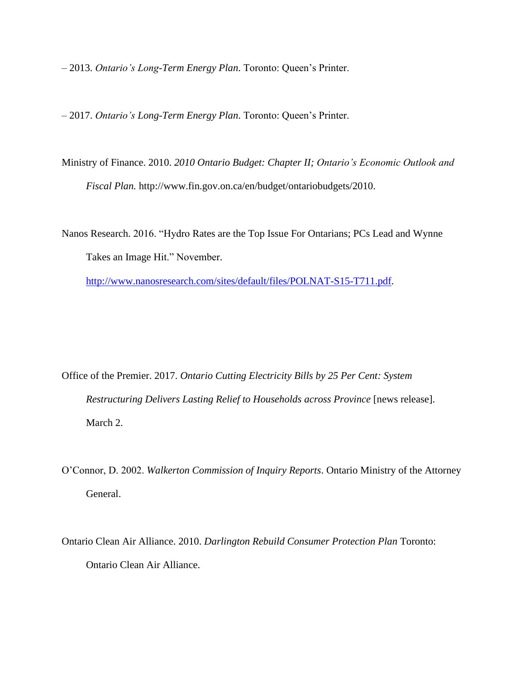– 2013. *Ontario's Long-Term Energy Plan*. Toronto: Queen's Printer.

– 2017. *Ontario's Long-Term Energy Plan*. Toronto: Queen's Printer.

Ministry of Finance. 2010. *2010 Ontario Budget: Chapter II; Ontario's Economic Outlook and Fiscal Plan.* http://www.fin.gov.on.ca/en/budget/ontariobudgets/2010.

Nanos Research. 2016. "Hydro Rates are the Top Issue For Ontarians; PCs Lead and Wynne Takes an Image Hit." November.

[http://www.nanosresearch.com/sites/default/files/POLNAT-S15-T711.pdf.](http://www.nanosresearch.com/sites/default/files/POLNAT-S15-T711.pdf)

Office of the Premier. 2017. *Ontario Cutting Electricity Bills by 25 Per Cent: System Restructuring Delivers Lasting Relief to Households across Province* [news release]. March 2.

- O'Connor, D. 2002. *Walkerton Commission of Inquiry Reports*. Ontario Ministry of the Attorney General.
- Ontario Clean Air Alliance. 2010. *Darlington Rebuild Consumer Protection Plan* Toronto: Ontario Clean Air Alliance.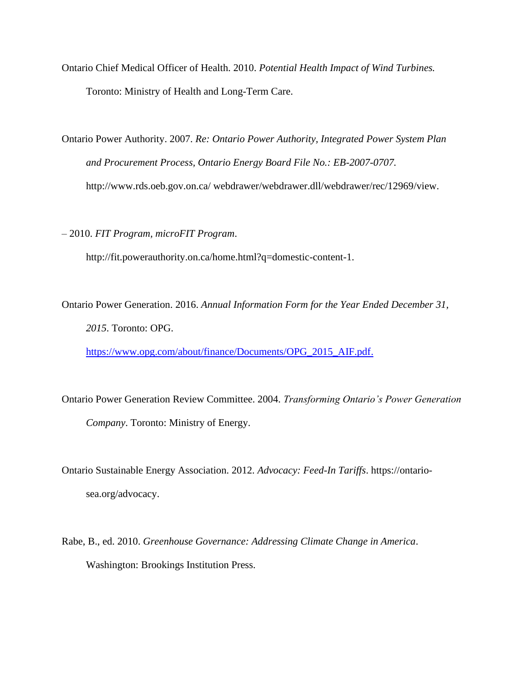- Ontario Chief Medical Officer of Health. 2010. *Potential Health Impact of Wind Turbines.*  Toronto: Ministry of Health and Long-Term Care.
- Ontario Power Authority. 2007. *Re: Ontario Power Authority, Integrated Power System Plan and Procurement Process, Ontario Energy Board File No.: EB-2007-0707.*  http://www.rds.oeb.gov.on.ca/ webdrawer/webdrawer.dll/webdrawer/rec/12969/view.

– 2010. *FIT Program, microFIT Program*.

http://fit.powerauthority.on.ca/home.html?q=domestic-content-1.

Ontario Power Generation. 2016. *Annual Information Form for the Year Ended December 31, 2015*. Toronto: OPG.

[https://www.opg.com/about/finance/Documents/OPG\\_2015\\_AIF.pdf.](https://www.opg.com/about/finance/Documents/OPG_2015_AIF.pdf)

- Ontario Power Generation Review Committee. 2004. *Transforming Ontario's Power Generation Company*. Toronto: Ministry of Energy.
- Ontario Sustainable Energy Association. 2012. *Advocacy: Feed-In Tariffs*. https://ontariosea.org/advocacy.
- Rabe, B., ed. 2010. *Greenhouse Governance: Addressing Climate Change in America*. Washington: Brookings Institution Press.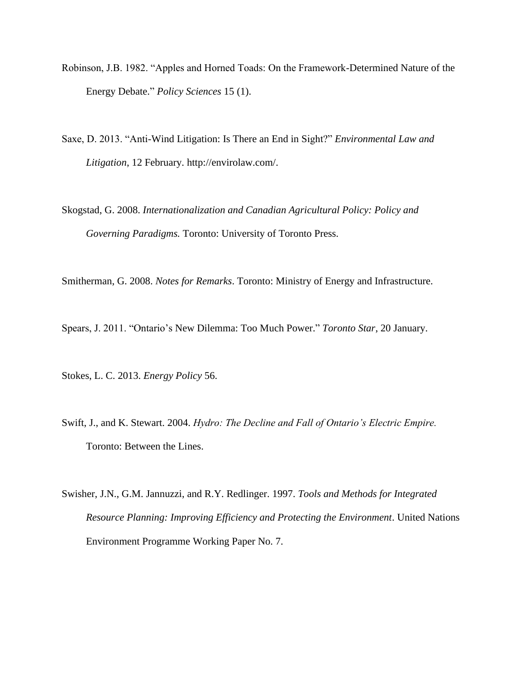- Robinson, J.B. 1982. "Apples and Horned Toads: On the Framework-Determined Nature of the Energy Debate." *Policy Sciences* 15 (1).
- Saxe, D. 2013. "Anti-Wind Litigation: Is There an End in Sight?" *Environmental Law and Litigation*, 12 February. http://envirolaw.com/.
- Skogstad, G. 2008. *Internationalization and Canadian Agricultural Policy: Policy and Governing Paradigms.* Toronto: University of Toronto Press.

Smitherman, G. 2008. *Notes for Remarks*. Toronto: Ministry of Energy and Infrastructure.

Spears, J. 2011. "Ontario's New Dilemma: Too Much Power." *Toronto Star*, 20 January.

Stokes, L. C. 2013. *Energy Policy* 56.

- Swift, J., and K. Stewart. 2004. *Hydro: The Decline and Fall of Ontario's Electric Empire.*  Toronto: Between the Lines.
- Swisher, J.N., G.M. Jannuzzi, and R.Y. Redlinger. 1997. *Tools and Methods for Integrated Resource Planning: Improving Efficiency and Protecting the Environment*. United Nations Environment Programme Working Paper No. 7.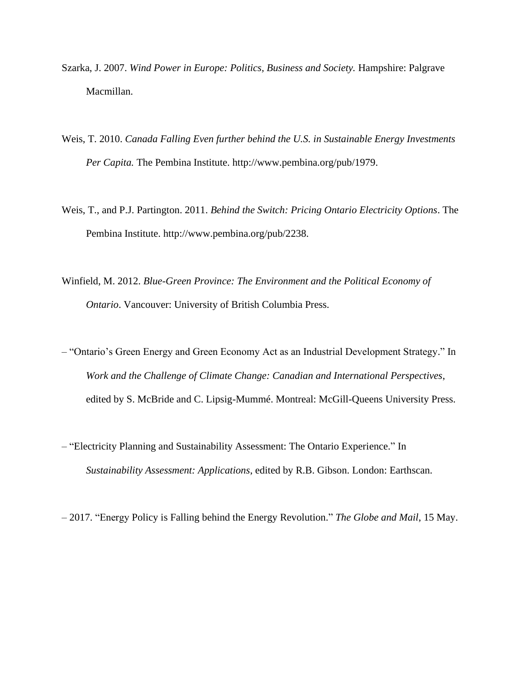- Szarka, J. 2007. *Wind Power in Europe: Politics, Business and Society.* Hampshire: Palgrave Macmillan.
- Weis, T. 2010. *Canada Falling Even further behind the U.S. in Sustainable Energy Investments Per Capita.* The Pembina Institute. http://www.pembina.org/pub/1979.
- Weis, T., and P.J. Partington. 2011. *Behind the Switch: Pricing Ontario Electricity Options*. The Pembina Institute. http://www.pembina.org/pub/2238.
- Winfield, M. 2012. *Blue-Green Province: The Environment and the Political Economy of Ontario*. Vancouver: University of British Columbia Press.
- "Ontario's Green Energy and Green Economy Act as an Industrial Development Strategy." In *Work and the Challenge of Climate Change: Canadian and International Perspectives*, edited by S. McBride and C. Lipsig-Mummé. Montreal: McGill-Queens University Press.
- "Electricity Planning and Sustainability Assessment: The Ontario Experience." In *Sustainability Assessment: Applications*, edited by R.B. Gibson. London: Earthscan.
- 2017. "Energy Policy is Falling behind the Energy Revolution." *The Globe and Mail*, 15 May.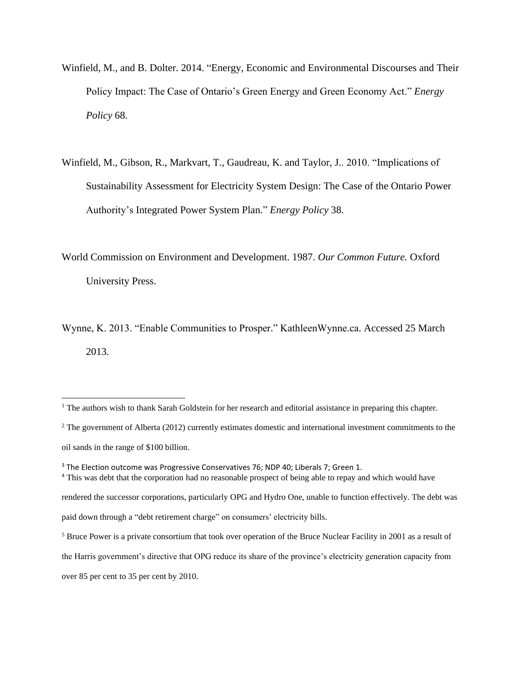- Winfield, M., and B. Dolter. 2014. "Energy, Economic and Environmental Discourses and Their Policy Impact: The Case of Ontario's Green Energy and Green Economy Act." *Energy Policy* 68.
- Winfield, M., Gibson, R., Markvart, T., Gaudreau, K. and Taylor, J.. 2010. "Implications of Sustainability Assessment for Electricity System Design: The Case of the Ontario Power Authority's Integrated Power System Plan." *Energy Policy* 38.

World Commission on Environment and Development. 1987. *Our Common Future.* Oxford University Press.

Wynne, K. 2013. "Enable Communities to Prosper." KathleenWynne.ca. Accessed 25 March 2013.

<sup>&</sup>lt;sup>1</sup> The authors wish to thank Sarah Goldstein for her research and editorial assistance in preparing this chapter.

 $2$  The government of Alberta (2012) currently estimates domestic and international investment commitments to the oil sands in the range of \$100 billion.

<sup>&</sup>lt;sup>3</sup> The Election outcome was Progressive Conservatives 76; NDP 40; Liberals 7; Green 1.

<sup>&</sup>lt;sup>4</sup> This was debt that the corporation had no reasonable prospect of being able to repay and which would have

rendered the successor corporations, particularly OPG and Hydro One, unable to function effectively. The debt was paid down through a "debt retirement charge" on consumers' electricity bills.

<sup>5</sup> Bruce Power is a private consortium that took over operation of the Bruce Nuclear Facility in 2001 as a result of the Harris government's directive that OPG reduce its share of the province's electricity generation capacity from over 85 per cent to 35 per cent by 2010.